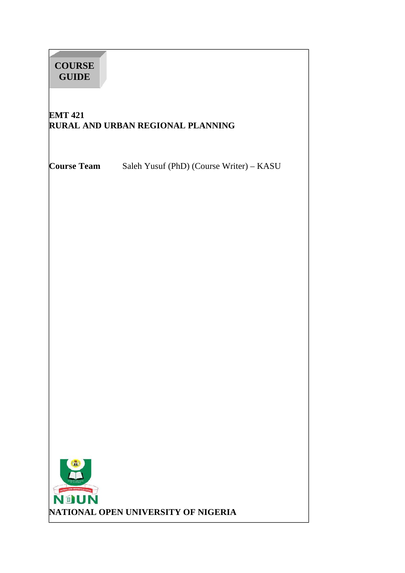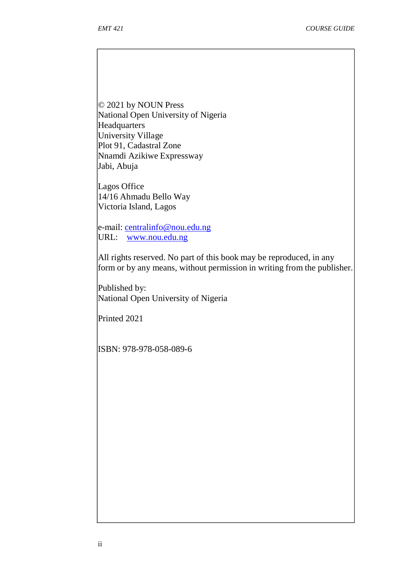© 2021 by NOUN Press National Open University of Nigeria Headquarters University Village Plot 91, Cadastral Zone Nnamdi Azikiwe Expressway Jabi, Abuja

Lagos Office 14/16 Ahmadu Bello Way Victoria Island, Lagos

e-mail: centralinfo@nou.edu.ng URL: www.nou.edu.ng

All rights reserved. No part of this book may be reproduced, in any form or by any means, without permission in writing from the publisher.

Published by: National Open University of Nigeria

Printed 2021

ISBN: 978-978-058-089-6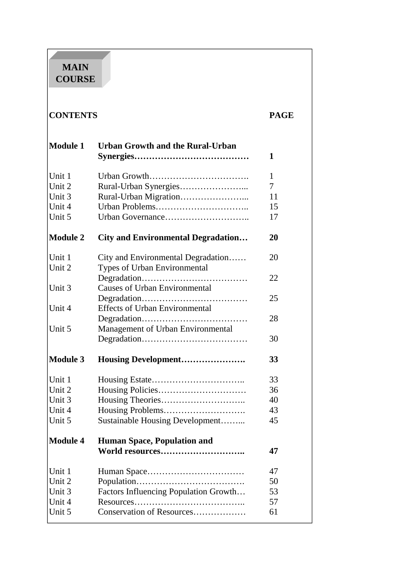# **MAIN COURSE**

| <b>CONTENTS</b> |                                           | <b>PAGE</b> |
|-----------------|-------------------------------------------|-------------|
| <b>Module 1</b> | <b>Urban Growth and the Rural-Urban</b>   | 1           |
|                 |                                           |             |
| Unit 1          |                                           | 1           |
| Unit 2          |                                           | 7           |
| Unit 3          |                                           | 11          |
| Unit 4          |                                           | 15          |
| Unit 5          |                                           | 17          |
| <b>Module 2</b> | <b>City and Environmental Degradation</b> | 20          |
| Unit 1          | City and Environmental Degradation        | 20          |
| Unit 2          | Types of Urban Environmental              |             |
|                 |                                           | 22          |
| Unit 3          | <b>Causes of Urban Environmental</b>      |             |
|                 |                                           | 25          |
| Unit 4          | <b>Effects of Urban Environmental</b>     |             |
|                 |                                           | 28          |
| Unit 5          | Management of Urban Environmental         |             |
|                 |                                           | 30          |
| <b>Module 3</b> | Housing Development                       | 33          |
| Unit 1          |                                           | 33          |
| Unit 2          |                                           | 36          |
| Unit 3          |                                           | 40          |
| Unit 4          |                                           | 43          |
| Unit 5          | Sustainable Housing Development           | 45          |
| <b>Module 4</b> | <b>Human Space, Population and</b>        |             |
|                 | World resources                           | 47          |
| Unit 1          |                                           | 47          |
| Unit 2          |                                           | 50          |
| Unit 3          | Factors Influencing Population Growth     | 53          |
| Unit 4          |                                           | 57          |
| Unit 5          | Conservation of Resources                 | 61          |
|                 |                                           |             |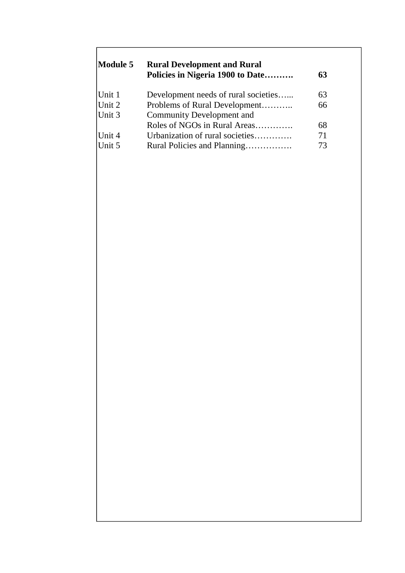| <b>Module 5</b> | <b>Rural Development and Rural</b><br>Policies in Nigeria 1900 to Date | 63 |  |
|-----------------|------------------------------------------------------------------------|----|--|
| Unit 1          | Development needs of rural societies                                   | 63 |  |
| Unit 2          | Problems of Rural Development                                          | 66 |  |
| Unit 3          | <b>Community Development and</b>                                       |    |  |
|                 | Roles of NGOs in Rural Areas                                           | 68 |  |
| Unit 4          | Urbanization of rural societies                                        | 71 |  |
| Unit 5          | Rural Policies and Planning                                            | 73 |  |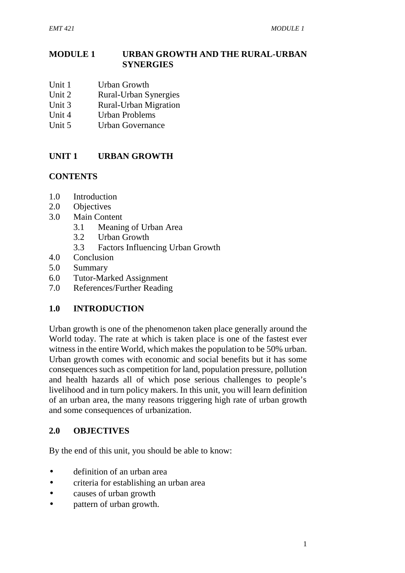### **MODULE 1 URBAN GROWTH AND THE RURAL-URBAN SYNERGIES**

- Unit 1 Urban Growth
- Unit 2 Rural-Urban Synergies<br>
Unit 3 Rural-Urban Migration
- **Rural-Urban Migration**
- Unit 4 Urban Problems
- Unit 5 Urban Governance

### **UNIT 1 URBAN GROWTH**

#### **CONTENTS**

- 1.0 Introduction
- 2.0 Objectives
- 3.0 Main Content
	- 3.1 Meaning of Urban Area
	- 3.2 Urban Growth
	- 3.3 Factors Influencing Urban Growth
- 4.0 Conclusion
- 5.0 Summary
- 6.0 Tutor-Marked Assignment
- 7.0 References/Further Reading

#### **1.0 INTRODUCTION**

Urban growth is one of the phenomenon taken place generally around the World today. The rate at which is taken place is one of the fastest ever witness in the entire World, which makes the population to be 50% urban. Urban growth comes with economic and social benefits but it has some consequences such as competition for land, population pressure, pollution and health hazards all of which pose serious challenges to people's livelihood and in turn policy makers. In this unit, you will learn definition of an urban area, the many reasons triggering high rate of urban growth and some consequences of urbanization.

#### **2.0 OBJECTIVES**

By the end of this unit, you should be able to know:

- definition of an urban area
- criteria for establishing an urban area
- causes of urban growth
- pattern of urban growth.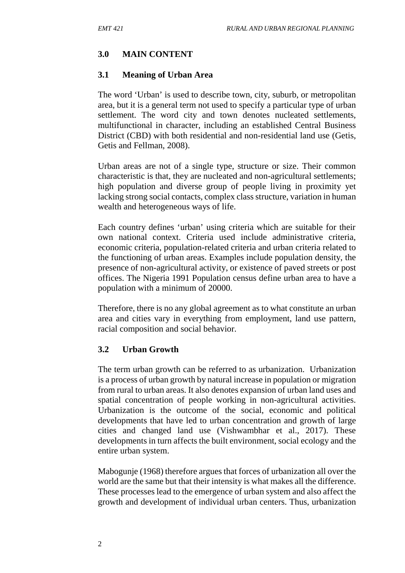### **3.0 MAIN CONTENT**

#### **3.1 Meaning of Urban Area**

The word 'Urban' is used to describe town, city, suburb, or metropolitan area, but it is a general term not used to specify a particular type of urban settlement. The word city and town denotes nucleated settlements, multifunctional in character, including an established Central Business District (CBD) with both residential and non-residential land use (Getis, Getis and Fellman, 2008).

Urban areas are not of a single type, structure or size. Their common characteristic is that, they are nucleated and non-agricultural settlements; high population and diverse group of people living in proximity yet lacking strong social contacts, complex class structure, variation in human wealth and heterogeneous ways of life.

Each country defines 'urban' using criteria which are suitable for their own national context. Criteria used include administrative criteria, economic criteria, population-related criteria and urban criteria related to the functioning of urban areas. Examples include population density, the presence of non-agricultural activity, or existence of paved streets or post offices. The Nigeria 1991 Population census define urban area to have a population with a minimum of 20000.

Therefore, there is no any global agreement as to what constitute an urban area and cities vary in everything from employment, land use pattern, racial composition and social behavior.

#### **3.2 Urban Growth**

The term urban growth can be referred to as urbanization. Urbanization is a process of urban growth by natural increase in population or migration from rural to urban areas. It also denotes expansion of urban land uses and spatial concentration of people working in non-agricultural activities. Urbanization is the outcome of the social, economic and political developments that have led to urban concentration and growth of large cities and changed land use (Vishwambhar et al., 2017). These developments in turn affects the built environment, social ecology and the entire urban system.

Mabogunje (1968) therefore argues that forces of urbanization all over the world are the same but that their intensity is what makes all the difference. These processes lead to the emergence of urban system and also affect the growth and development of individual urban centers. Thus, urbanization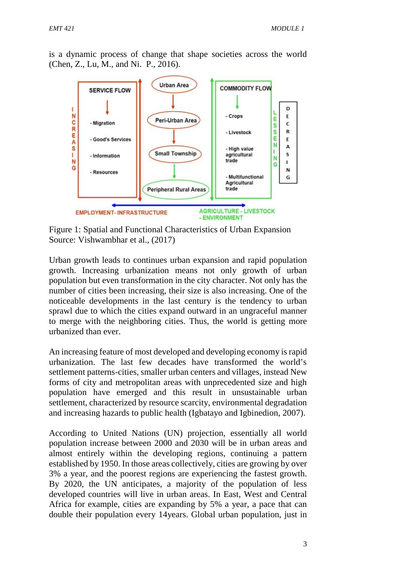is a dynamic process of change that shape societies across the world (Chen, Z., Lu, M., and Ni. P., 2016).



Figure 1: Spatial and Functional Characteristics of Urban Expansion Source: Vishwambhar et al., (2017)

Urban growth leads to continues urban expansion and rapid population growth. Increasing urbanization means not only growth of urban population but even transformation in the city character. Not only has the number of cities been increasing, their size is also increasing. One of the noticeable developments in the last century is the tendency to urban sprawl due to which the cities expand outward in an ungraceful manner to merge with the neighboring cities. Thus, the world is getting more urbanized than ever.

An increasing feature of most developed and developing economy is rapid urbanization. The last few decades have transformed the world's settlement patterns-cities, smaller urban centers and villages, instead New forms of city and metropolitan areas with unprecedented size and high population have emerged and this result in unsustainable urban settlement, characterized by resource scarcity, environmental degradation and increasing hazards to public health (Igbatayo and Igbinedion, 2007).

According to United Nations (UN) projection, essentially all world population increase between 2000 and 2030 will be in urban areas and almost entirely within the developing regions, continuing a pattern established by 1950. In those areas collectively, cities are growing by over 3% a year, and the poorest regions are experiencing the fastest growth. By 2020, the UN anticipates, a majority of the population of less developed countries will live in urban areas. In East, West and Central Africa for example, cities are expanding by 5% a year, a pace that can double their population every 14years. Global urban population, just in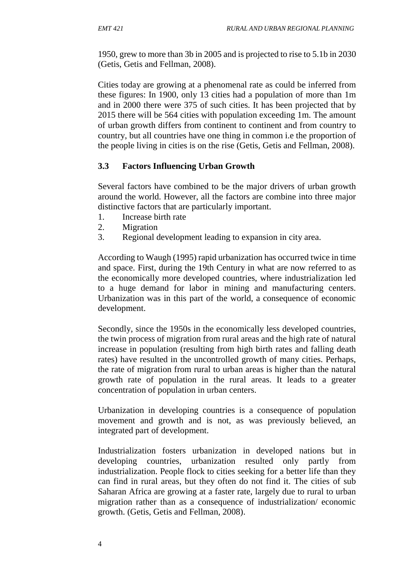1950, grew to more than 3b in 2005 and is projected to rise to 5.1b in 2030 (Getis, Getis and Fellman, 2008).

Cities today are growing at a phenomenal rate as could be inferred from these figures: In 1900, only 13 cities had a population of more than 1m and in 2000 there were 375 of such cities. It has been projected that by 2015 there will be 564 cities with population exceeding 1m. The amount of urban growth differs from continent to continent and from country to country, but all countries have one thing in common i.e the proportion of the people living in cities is on the rise (Getis, Getis and Fellman, 2008).

## **3.3 Factors Influencing Urban Growth**

Several factors have combined to be the major drivers of urban growth around the world. However, all the factors are combine into three major distinctive factors that are particularly important.

- 1. Increase birth rate
- 2. Migration
- 3. Regional development leading to expansion in city area.

According to Waugh (1995) rapid urbanization has occurred twice in time and space. First, during the 19th Century in what are now referred to as the economically more developed countries, where industrialization led to a huge demand for labor in mining and manufacturing centers. Urbanization was in this part of the world, a consequence of economic development.

Secondly, since the 1950s in the economically less developed countries, the twin process of migration from rural areas and the high rate of natural increase in population (resulting from high birth rates and falling death rates) have resulted in the uncontrolled growth of many cities. Perhaps, the rate of migration from rural to urban areas is higher than the natural growth rate of population in the rural areas. It leads to a greater concentration of population in urban centers.

Urbanization in developing countries is a consequence of population movement and growth and is not, as was previously believed, an integrated part of development.

Industrialization fosters urbanization in developed nations but in developing countries, urbanization resulted only partly from industrialization. People flock to cities seeking for a better life than they can find in rural areas, but they often do not find it. The cities of sub Saharan Africa are growing at a faster rate, largely due to rural to urban migration rather than as a consequence of industrialization/ economic growth. (Getis, Getis and Fellman, 2008).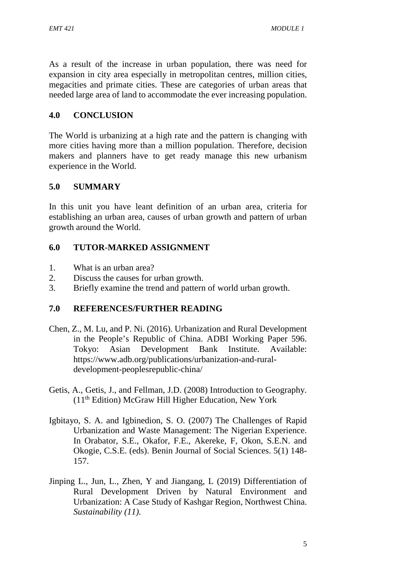As a result of the increase in urban population, there was need for expansion in city area especially in metropolitan centres, million cities, megacities and primate cities. These are categories of urban areas that needed large area of land to accommodate the ever increasing population.

### **4.0 CONCLUSION**

The World is urbanizing at a high rate and the pattern is changing with more cities having more than a million population. Therefore, decision makers and planners have to get ready manage this new urbanism experience in the World.

### **5.0 SUMMARY**

In this unit you have leant definition of an urban area, criteria for establishing an urban area, causes of urban growth and pattern of urban growth around the World.

### **6.0 TUTOR-MARKED ASSIGNMENT**

- 1. What is an urban area?
- 2. Discuss the causes for urban growth.
- 3. Briefly examine the trend and pattern of world urban growth.

- Chen, Z., M. Lu, and P. Ni. (2016). Urbanization and Rural Development in the People's Republic of China. ADBI Working Paper 596. Tokyo: Asian Development Bank Institute. Available: https://www.adb.org/publications/urbanization-and-rural development-peoplesrepublic-china/
- Getis, A., Getis, J., and Fellman, J.D. (2008) Introduction to Geography. (11th Edition) McGraw Hill Higher Education, New York
- Igbitayo, S. A. and Igbinedion, S. O. (2007) The Challenges of Rapid Urbanization and Waste Management: The Nigerian Experience. In Orabator, S.E., Okafor, F.E., Akereke, F, Okon, S.E.N. and Okogie, C.S.E. (eds). Benin Journal of Social Sciences. 5(1) 148- 157.
- Jinping L., Jun, L., Zhen, Y and Jiangang, L (2019) Differentiation of Rural Development Driven by Natural Environment and Urbanization: A Case Study of Kashgar Region, Northwest China. *Sustainability (11).*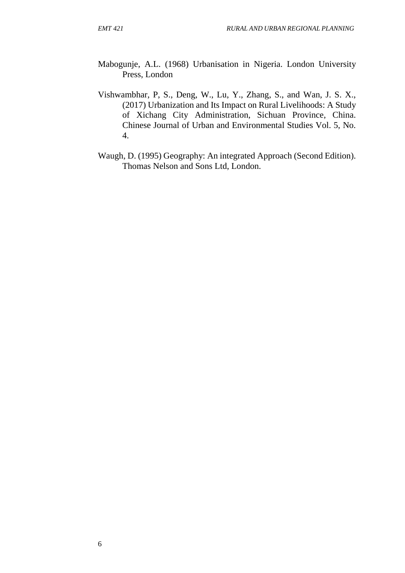- Mabogunje, A.L. (1968) Urbanisation in Nigeria. London University Press, London
- Vishwambhar, P, S., Deng, W., Lu, Y., Zhang, S., and Wan, J. S. X., (2017) Urbanization and Its Impact on Rural Livelihoods: A Study of Xichang City Administration, Sichuan Province, China. Chinese Journal of Urban and Environmental Studies Vol. 5, No. 4.
- Waugh, D. (1995) Geography: An integrated Approach (Second Edition). Thomas Nelson and Sons Ltd, London.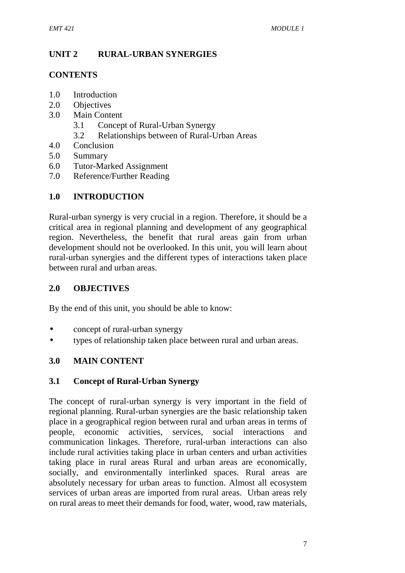## **UNIT 2 RURAL-URBAN SYNERGIES**

#### **CONTENTS**

- 1.0 Introduction
- 2.0 Objectives
- 3.0 Main Content
	- 3.1 Concept of Rural-Urban Synergy
	- 3.2 Relationships between of Rural-Urban Areas
- 4.0 Conclusion
- 5.0 Summary
- 6.0 Tutor-Marked Assignment
- 7.0 Reference/Further Reading

## **1.0 INTRODUCTION**

Rural-urban synergy is very crucial in a region. Therefore, it should be a critical area in regional planning and development of any geographical region. Nevertheless, the benefit that rural areas gain from urban development should not be overlooked. In this unit, you will learn about rural-urban synergies and the different types of interactions taken place between rural and urban areas.

### **2.0 OBJECTIVES**

By the end of this unit, you should be able to know:

- concept of rural-urban synergy
- types of relationship taken place between rural and urban areas.

#### **3.0 MAIN CONTENT**

#### **3.1 Concept of Rural-Urban Synergy**

The concept of rural-urban synergy is very important in the field of regional planning. Rural-urban synergies are the basic relationship taken place in a geographical region between rural and urban areas in terms of people, economic activities, services, social interactions and communication linkages. Therefore, rural-urban interactions can also include rural activities taking place in urban centers and urban activities taking place in rural areas Rural and urban areas are economically, socially, and environmentally interlinked spaces. Rural areas are absolutely necessary for urban areas to function. Almost all ecosystem services of urban areas are imported from rural areas. Urban areas rely on rural areas to meet their demands for food, water, wood, raw materials,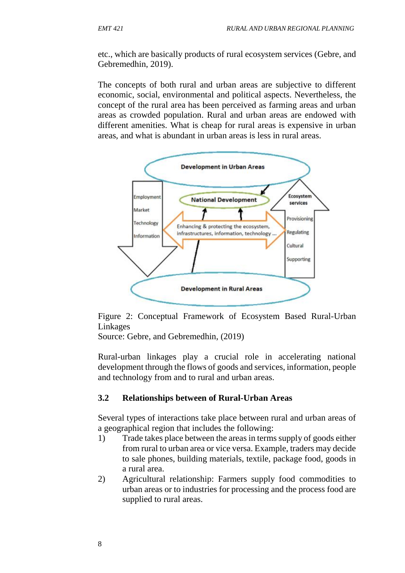etc., which are basically products of rural ecosystem services (Gebre, and Gebremedhin, 2019).

The concepts of both rural and urban areas are subjective to different economic, social, environmental and political aspects. Nevertheless, the concept of the rural area has been perceived as farming areas and urban areas as crowded population. Rural and urban areas are endowed with different amenities. What is cheap for rural areas is expensive in urban areas, and what is abundant in urban areas is less in rural areas.



Figure 2: Conceptual Framework of Ecosystem Based Rural-Urban Linkages

Source: Gebre, and Gebremedhin, (2019)

Rural-urban linkages play a crucial role in accelerating national development through the flows of goods and services, information, people and technology from and to rural and urban areas.

#### **3.2 Relationships between of Rural-Urban Areas**

Several types of interactions take place between rural and urban areas of a geographical region that includes the following:

- 1) Trade takes place between the areas in terms supply of goods either from rural to urban area or vice versa. Example, traders may decide to sale phones, building materials, textile, package food, goods in a rural area.
- 2) Agricultural relationship: Farmers supply food commodities to urban areas or to industries for processing and the process food are supplied to rural areas.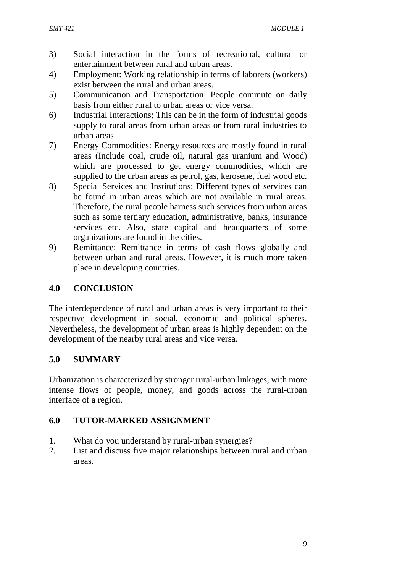- 3) Social interaction in the forms of recreational, cultural or entertainment between rural and urban areas.
- 4) Employment: Working relationship in terms of laborers (workers) exist between the rural and urban areas.
- 5) Communication and Transportation: People commute on daily basis from either rural to urban areas or vice versa.
- 6) Industrial Interactions; This can be in the form of industrial goods supply to rural areas from urban areas or from rural industries to urban areas.
- 7) Energy Commodities: Energy resources are mostly found in rural areas (Include coal, crude oil, natural gas uranium and Wood) which are processed to get energy commodities, which are supplied to the urban areas as petrol, gas, kerosene, fuel wood etc.
- 8) Special Services and Institutions: Different types of services can be found in urban areas which are not available in rural areas. Therefore, the rural people harness such services from urban areas such as some tertiary education, administrative, banks, insurance services etc. Also, state capital and headquarters of some organizations are found in the cities.
- 9) Remittance: Remittance in terms of cash flows globally and between urban and rural areas. However, it is much more taken place in developing countries.

### **4.0 CONCLUSION**

The interdependence of rural and urban areas is very important to their respective development in social, economic and political spheres. Nevertheless, the development of urban areas is highly dependent on the development of the nearby rural areas and vice versa.

## **5.0 SUMMARY**

Urbanization is characterized by stronger rural-urban linkages, with more intense flows of people, money, and goods across the rural-urban interface of a region.

## **6.0 TUTOR-MARKED ASSIGNMENT**

- 1. What do you understand by rural-urban synergies?
- 2. List and discuss five major relationships between rural and urban areas.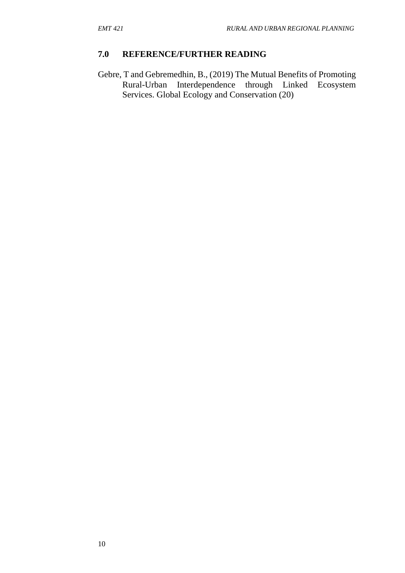### **7.0 REFERENCE/FURTHER READING**

Gebre, T and Gebremedhin, B., (2019) The Mutual Benefits of Promoting Rural-Urban Interdependence through Linked Ecosystem Services. Global Ecology and Conservation (20)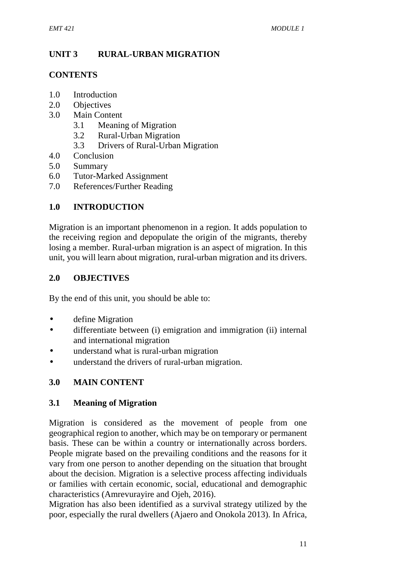## **UNIT 3 RURAL-URBAN MIGRATION**

#### **CONTENTS**

- 1.0 Introduction
- 2.0 Objectives
- 3.0 Main Content
	- 3.1 Meaning of Migration
	- 3.2 Rural-Urban Migration
	- 3.3 Drivers of Rural-Urban Migration
- 4.0 Conclusion
- 5.0 Summary
- 6.0 Tutor-Marked Assignment
- 7.0 References/Further Reading

### **1.0 INTRODUCTION**

Migration is an important phenomenon in a region. It adds population to the receiving region and depopulate the origin of the migrants, thereby losing a member. Rural-urban migration is an aspect of migration. In this unit, you will learn about migration, rural-urban migration and its drivers.

### **2.0 OBJECTIVES**

By the end of this unit, you should be able to:

- define Migration
- differentiate between (i) emigration and immigration (ii) internal and international migration
- understand what is rural-urban migration
- understand the drivers of rural-urban migration.

## **3.0 MAIN CONTENT**

#### **3.1 Meaning of Migration**

Migration is considered as the movement of people from one geographical region to another, which may be on temporary or permanent basis. These can be within a country or internationally across borders. People migrate based on the prevailing conditions and the reasons for it vary from one person to another depending on the situation that brought about the decision. Migration is a selective process affecting individuals or families with certain economic, social, educational and demographic characteristics (Amrevurayire and Ojeh, 2016).

Migration has also been identified as a survival strategy utilized by the poor, especially the rural dwellers (Ajaero and Onokola 2013). In Africa,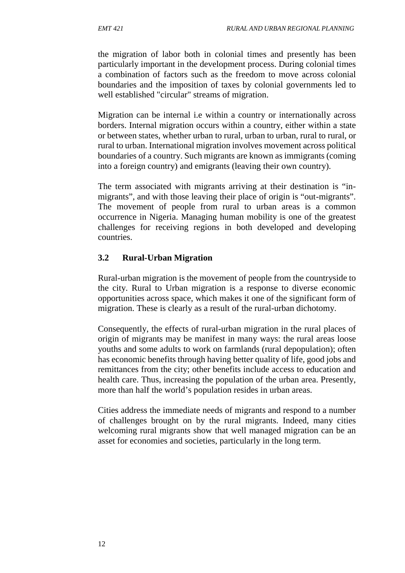the migration of labor both in colonial times and presently has been particularly important in the development process. During colonial times a combination of factors such as the freedom to move across colonial boundaries and the imposition of taxes by colonial governments led to well established "circular" streams of migration.

Migration can be internal i.e within a country or internationally across borders. Internal migration occurs within a country, either within a state or between states, whether urban to rural, urban to urban, rural to rural, or rural to urban. International migration involves movement across political boundaries of a country. Such migrants are known as immigrants (coming into a foreign country) and emigrants (leaving their own country).

The term associated with migrants arriving at their destination is "in migrants", and with those leaving their place of origin is "out-migrants". The movement of people from rural to urban areas is a common occurrence in Nigeria. Managing human mobility is one of the greatest challenges for receiving regions in both developed and developing countries.

### **3.2 Rural-Urban Migration**

Rural-urban migration is the movement of people from the countryside to the city. Rural to Urban migration is a response to diverse economic opportunities across space, which makes it one of the significant form of migration. These is clearly as a result of the rural-urban dichotomy.

Consequently, the effects of rural-urban migration in the rural places of origin of migrants may be manifest in many ways: the rural areas loose youths and some adults to work on farmlands (rural depopulation); often has economic benefits through having better quality of life, good jobs and remittances from the city; other benefits include access to education and health care. Thus, increasing the population of the urban area. Presently, more than half the world's population resides in urban areas.

Cities address the immediate needs of migrants and respond to a number of challenges brought on by the rural migrants. Indeed, many cities welcoming rural migrants show that well managed migration can be an asset for economies and societies, particularly in the long term.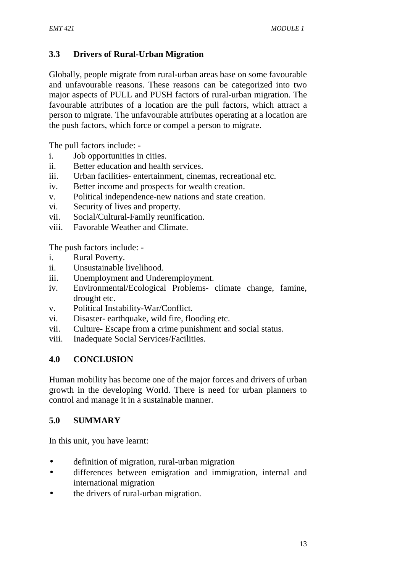## **3.3 Drivers of Rural-Urban Migration**

Globally, people migrate from rural-urban areas base on some favourable and unfavourable reasons. These reasons can be categorized into two major aspects of PULL and PUSH factors of rural-urban migration. The favourable attributes of a location are the pull factors, which attract a person to migrate. The unfavourable attributes operating at a location are the push factors, which force or compel a person to migrate.

The pull factors include: -

- i. Job opportunities in cities.
- ii. Better education and health services.
- iii. Urban facilities- entertainment, cinemas, recreational etc.
- iv. Better income and prospects for wealth creation.
- v. Political independence-new nations and state creation.
- vi. Security of lives and property.
- vii. Social/Cultural-Family reunification.
- viii. Favorable Weather and Climate.

The push factors include: -

- i. Rural Poverty.
- ii. Unsustainable livelihood.
- iii. Unemployment and Underemployment.
- iv. Environmental/Ecological Problems- climate change, famine, drought etc.
- v. Political Instability-War/Conflict.
- vi. Disaster- earthquake, wild fire, flooding etc.
- vii. Culture- Escape from a crime punishment and social status.
- viii. Inadequate Social Services/Facilities.

## **4.0 CONCLUSION**

Human mobility has become one of the major forces and drivers of urban growth in the developing World. There is need for urban planners to control and manage it in a sustainable manner.

## **5.0 SUMMARY**

In this unit, you have learnt:

- definition of migration, rural-urban migration
- differences between emigration and immigration, internal and international migration
- the drivers of rural-urban migration.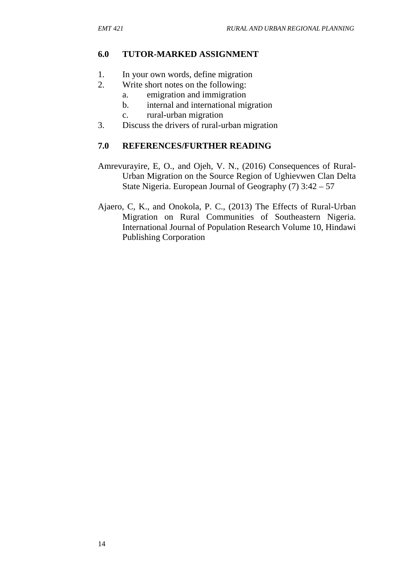### **6.0 TUTOR-MARKED ASSIGNMENT**

- 1. In your own words, define migration
- 2. Write short notes on the following:
	- a. emigration and immigration
	- b. internal and international migration
	- c. rural-urban migration
- 3. Discuss the drivers of rural-urban migration

- Amrevurayire, E, O., and Ojeh, V. N., (2016) Consequences of Rural- Urban Migration on the Source Region of Ughievwen Clan Delta State Nigeria. European Journal of Geography (7) 3:42 – 57
- Ajaero, C, K., and Onokola, P. C., (2013) The Effects of Rural-Urban Migration on Rural Communities of Southeastern Nigeria. International Journal of Population Research Volume 10, Hindawi Publishing Corporation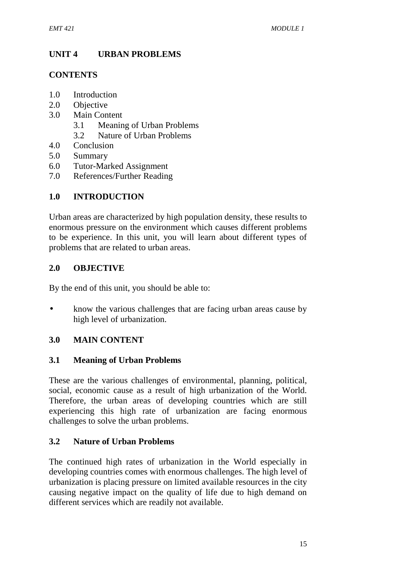## **UNIT 4 URBAN PROBLEMS**

### **CONTENTS**

- 1.0 Introduction
- 2.0 Objective
- 3.0 Main Content
	- 3.1 Meaning of Urban Problems
	- 3.2 Nature of Urban Problems
- 4.0 Conclusion
- 5.0 Summary
- 6.0 Tutor-Marked Assignment
- 7.0 References/Further Reading

## **1.0 INTRODUCTION**

Urban areas are characterized by high population density, these results to enormous pressure on the environment which causes different problems to be experience. In this unit, you will learn about different types of problems that are related to urban areas.

## **2.0 OBJECTIVE**

By the end of this unit, you should be able to:

• know the various challenges that are facing urban areas cause by high level of urbanization.

## **3.0 MAIN CONTENT**

#### **3.1 Meaning of Urban Problems**

These are the various challenges of environmental, planning, political, social, economic cause as a result of high urbanization of the World. Therefore, the urban areas of developing countries which are still experiencing this high rate of urbanization are facing enormous challenges to solve the urban problems.

## **3.2 Nature of Urban Problems**

The continued high rates of urbanization in the World especially in developing countries comes with enormous challenges. The high level of urbanization is placing pressure on limited available resources in the city causing negative impact on the quality of life due to high demand on different services which are readily not available.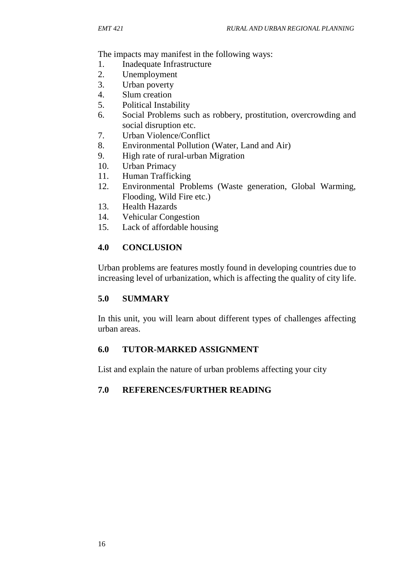The impacts may manifest in the following ways:

- 1. Inadequate Infrastructure
- 2. Unemployment
- 3. Urban poverty
- 4. Slum creation
- 5. Political Instability
- 6. Social Problems such as robbery, prostitution, overcrowding and social disruption etc.
- 7. Urban Violence/Conflict
- 8. Environmental Pollution (Water, Land and Air)
- 9. High rate of rural-urban Migration
- 10. Urban Primacy
- 11. Human Trafficking
- 12. Environmental Problems (Waste generation, Global Warming, Flooding, Wild Fire etc.)
- 13. Health Hazards
- 14. Vehicular Congestion
- 15. Lack of affordable housing

## **4.0 CONCLUSION**

Urban problems are features mostly found in developing countries due to increasing level of urbanization, which is affecting the quality of city life.

## **5.0 SUMMARY**

In this unit, you will learn about different types of challenges affecting urban areas.

## **6.0 TUTOR-MARKED ASSIGNMENT**

List and explain the nature of urban problems affecting your city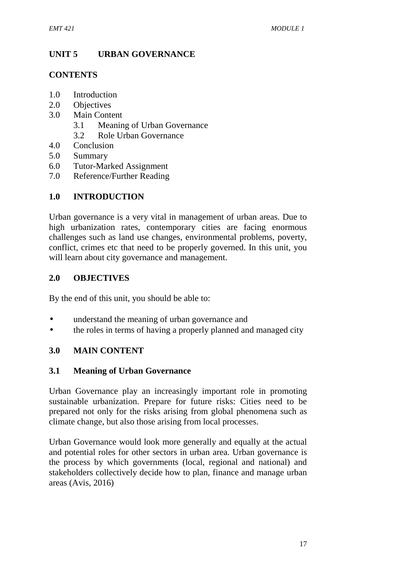## **UNIT 5 URBAN GOVERNANCE**

### **CONTENTS**

- 1.0 Introduction
- 2.0 Objectives
- 3.0 Main Content
	- 3.1 Meaning of Urban Governance
	- 3.2 Role Urban Governance
- 4.0 Conclusion
- 5.0 Summary
- 6.0 Tutor-Marked Assignment
- 7.0 Reference/Further Reading

## **1.0 INTRODUCTION**

Urban governance is a very vital in management of urban areas. Due to high urbanization rates, contemporary cities are facing enormous challenges such as land use changes, environmental problems, poverty, conflict, crimes etc that need to be properly governed. In this unit, you will learn about city governance and management.

## **2.0 OBJECTIVES**

By the end of this unit, you should be able to:

- understand the meaning of urban governance and
- the roles in terms of having a properly planned and managed city

## **3.0 MAIN CONTENT**

#### **3.1 Meaning of Urban Governance**

Urban Governance play an increasingly important role in promoting sustainable urbanization. Prepare for future risks: Cities need to be prepared not only for the risks arising from global phenomena such as climate change, but also those arising from local processes.

Urban Governance would look more generally and equally at the actual and potential roles for other sectors in urban area. Urban governance is the process by which governments (local, regional and national) and stakeholders collectively decide how to plan, finance and manage urban areas (Avis, 2016)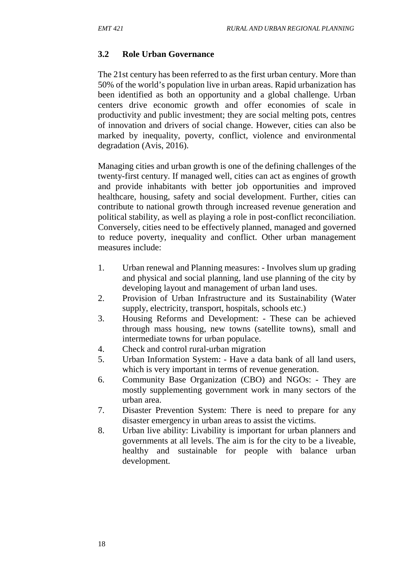#### **3.2 Role Urban Governance**

The 21st century has been referred to as the first urban century. More than 50% of the world's population live in urban areas. Rapid urbanization has been identified as both an opportunity and a global challenge. Urban centers drive economic growth and offer economies of scale in productivity and public investment; they are social melting pots, centres of innovation and drivers of social change. However, cities can also be marked by inequality, poverty, conflict, violence and environmental degradation (Avis, 2016).

Managing cities and urban growth is one of the defining challenges of the twenty-first century. If managed well, cities can act as engines of growth and provide inhabitants with better job opportunities and improved healthcare, housing, safety and social development. Further, cities can contribute to national growth through increased revenue generation and political stability, as well as playing a role in post-conflict reconciliation. Conversely, cities need to be effectively planned, managed and governed to reduce poverty, inequality and conflict. Other urban management measures include:

- 1. Urban renewal and Planning measures: Involves slum up grading and physical and social planning, land use planning of the city by developing layout and management of urban land uses.
- 2. Provision of Urban Infrastructure and its Sustainability (Water supply, electricity, transport, hospitals, schools etc.)
- 3. Housing Reforms and Development: These can be achieved through mass housing, new towns (satellite towns), small and intermediate towns for urban populace.
- 4. Check and control rural-urban migration
- 5. Urban Information System: Have a data bank of all land users, which is very important in terms of revenue generation.
- 6. Community Base Organization (CBO) and NGOs: They are mostly supplementing government work in many sectors of the urban area.
- 7. Disaster Prevention System: There is need to prepare for any disaster emergency in urban areas to assist the victims.
- 8. Urban live ability: Livability is important for urban planners and governments at all levels. The aim is for the city to be a liveable, healthy and sustainable for people with balance urban development.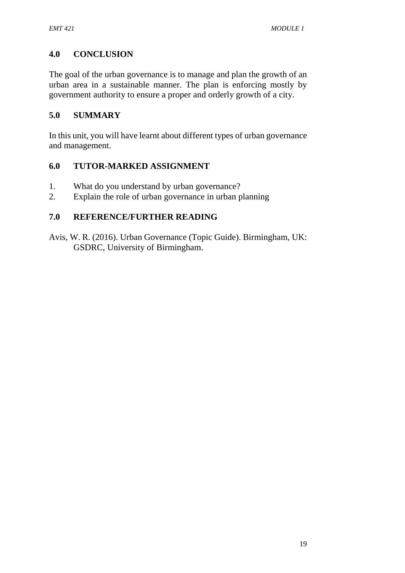## **4.0 CONCLUSION**

The goal of the urban governance is to manage and plan the growth of an urban area in a sustainable manner. The plan is enforcing mostly by government authority to ensure a proper and orderly growth of a city.

### **5.0 SUMMARY**

In this unit, you will have learnt about different types of urban governance and management.

#### **6.0 TUTOR-MARKED ASSIGNMENT**

- 1. What do you understand by urban governance?
- 2. Explain the role of urban governance in urban planning

#### **7.0 REFERENCE/FURTHER READING**

Avis, W. R. (2016). Urban Governance (Topic Guide). Birmingham, UK: GSDRC, University of Birmingham.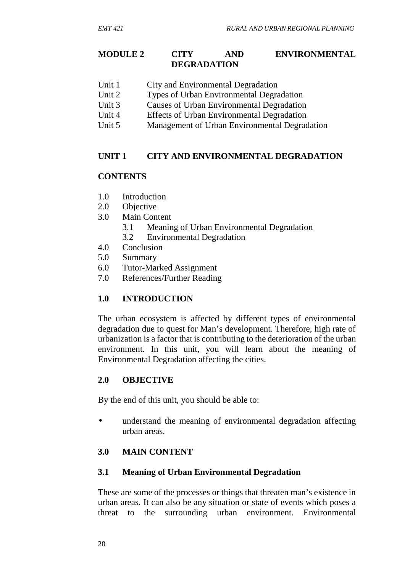#### **MODULE 2 CITY AND ENVIRONMENTAL DEGRADATION**

- Unit 1 City and Environmental Degradation<br>
Unit 2 Types of Urban Environmental Degra
- Types of Urban Environmental Degradation
- Unit 3 Causes of Urban Environmental Degradation
- Unit 4 Effects of Urban Environmental Degradation
- Unit 5 Management of Urban Environmental Degradation

## **UNIT 1 CITY AND ENVIRONMENTAL DEGRADATION**

#### **CONTENTS**

- 1.0 Introduction
- 2.0 Objective
- 3.0 Main Content
	- 3.1 Meaning of Urban Environmental Degradation
	- 3.2 Environmental Degradation
- 4.0 Conclusion
- 5.0 Summary
- 6.0 Tutor-Marked Assignment
- 7.0 References/Further Reading

## **1.0 INTRODUCTION**

The urban ecosystem is affected by different types of environmental degradation due to quest for Man's development. Therefore, high rate of urbanization is a factor that is contributing to the deterioration of the urban environment. In this unit, you will learn about the meaning of Environmental Degradation affecting the cities.

## **2.0 OBJECTIVE**

By the end of this unit, you should be able to:

 understand the meaning of environmental degradation affecting urban areas.

## **3.0 MAIN CONTENT**

#### **3.1 Meaning of Urban Environmental Degradation**

These are some of the processes or things that threaten man's existence in urban areas. It can also be any situation or state of events which poses a threat to the surrounding urban environment. Environmental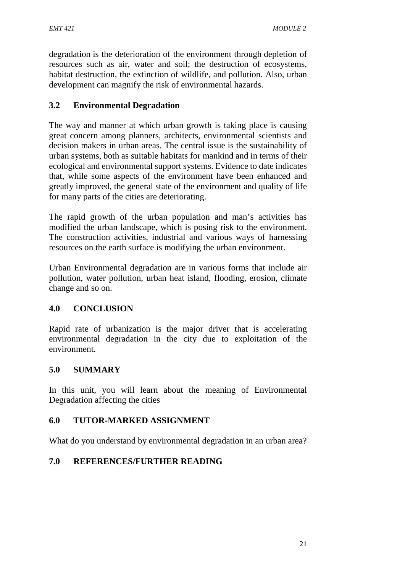degradation is the deterioration of the environment through depletion of resources such as air, water and soil; the destruction of ecosystems, habitat destruction, the extinction of wildlife, and pollution. Also, urban development can magnify the risk of environmental hazards.

### **3.2 Environmental Degradation**

The way and manner at which urban growth is taking place is causing great concern among planners, architects, environmental scientists and decision makers in urban areas. The central issue is the sustainability of urban systems, both as suitable habitats for mankind and in terms of their ecological and environmental support systems. Evidence to date indicates that, while some aspects of the environment have been enhanced and greatly improved, the general state of the environment and quality of life for many parts of the cities are deteriorating.

The rapid growth of the urban population and man's activities has modified the urban landscape, which is posing risk to the environment. The construction activities, industrial and various ways of harnessing resources on the earth surface is modifying the urban environment.

Urban Environmental degradation are in various forms that include air pollution, water pollution, urban heat island, flooding, erosion, climate change and so on.

#### **4.0 CONCLUSION**

Rapid rate of urbanization is the major driver that is accelerating environmental degradation in the city due to exploitation of the environment.

#### **5.0 SUMMARY**

In this unit, you will learn about the meaning of Environmental Degradation affecting the cities

#### **6.0 TUTOR-MARKED ASSIGNMENT**

What do you understand by environmental degradation in an urban area?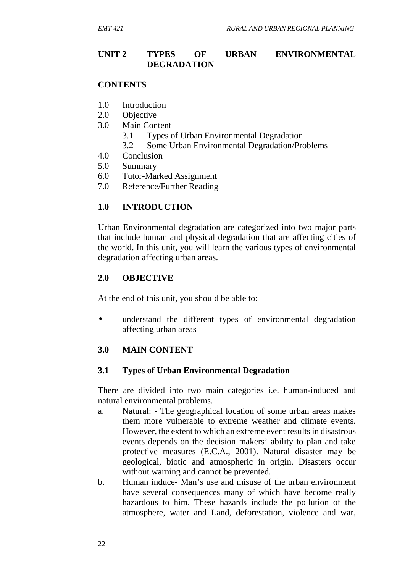#### **UNIT 2 TYPES OF URBAN ENVIRONMENTAL DEGRADATION**

#### **CONTENTS**

- 1.0 Introduction
- 2.0 Objective
- 3.0 Main Content
	- 3.1 Types of Urban Environmental Degradation
	- 3.2 Some Urban Environmental Degradation/Problems
- 4.0 Conclusion
- 5.0 Summary
- 6.0 Tutor-Marked Assignment
- 7.0 Reference/Further Reading

#### **1.0 INTRODUCTION**

Urban Environmental degradation are categorized into two major parts that include human and physical degradation that are affecting cities of the world. In this unit, you will learn the various types of environmental degradation affecting urban areas.

#### **2.0 OBJECTIVE**

At the end of this unit, you should be able to:

 understand the different types of environmental degradation affecting urban areas

#### **3.0 MAIN CONTENT**

#### **3.1 Types of Urban Environmental Degradation**

There are divided into two main categories i.e. human-induced and natural environmental problems.

- a. Natural: The geographical location of some urban areas makes them more vulnerable to extreme weather and climate events. However, the extent to which an extreme event results in disastrous events depends on the decision makers' ability to plan and take protective measures (E.C.A., 2001). Natural disaster may be geological, biotic and atmospheric in origin. Disasters occur without warning and cannot be prevented.
- b. Human induce- Man's use and misuse of the urban environment have several consequences many of which have become really hazardous to him. These hazards include the pollution of the atmosphere, water and Land, deforestation, violence and war,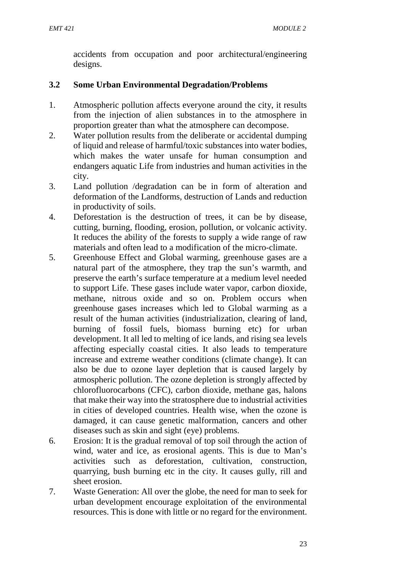accidents from occupation and poor architectural/engineering designs.

## **3.2 Some Urban Environmental Degradation/Problems**

- 1. Atmospheric pollution affects everyone around the city, it results from the injection of alien substances in to the atmosphere in proportion greater than what the atmosphere can decompose.
- 2. Water pollution results from the deliberate or accidental dumping of liquid and release of harmful/toxic substances into water bodies, which makes the water unsafe for human consumption and endangers aquatic Life from industries and human activities in the city.
- 3. Land pollution /degradation can be in form of alteration and deformation of the Landforms, destruction of Lands and reduction in productivity of soils.
- 4. Deforestation is the destruction of trees, it can be by disease, cutting, burning, flooding, erosion, pollution, or volcanic activity. It reduces the ability of the forests to supply a wide range of raw materials and often lead to a modification of the micro-climate.
- 5. Greenhouse Effect and Global warming, greenhouse gases are a natural part of the atmosphere, they trap the sun's warmth, and preserve the earth's surface temperature at a medium level needed to support Life. These gases include water vapor, carbon dioxide, methane, nitrous oxide and so on. Problem occurs when greenhouse gases increases which led to Global warming as a result of the human activities (industrialization, clearing of land, burning of fossil fuels, biomass burning etc) for urban development. It all led to melting of ice lands, and rising sea levels affecting especially coastal cities. It also leads to temperature increase and extreme weather conditions (climate change). It can also be due to ozone layer depletion that is caused largely by atmospheric pollution. The ozone depletion is strongly affected by chlorofluorocarbons (CFC), carbon dioxide, methane gas, halons that make their way into the stratosphere due to industrial activities in cities of developed countries. Health wise, when the ozone is damaged, it can cause genetic malformation, cancers and other diseases such as skin and sight (eye) problems.
- 6. Erosion: It is the gradual removal of top soil through the action of wind, water and ice, as erosional agents. This is due to Man's activities such as deforestation, cultivation, construction, quarrying, bush burning etc in the city. It causes gully, rill and sheet erosion.
- 7. Waste Generation: All over the globe, the need for man to seek for urban development encourage exploitation of the environmental resources. This is done with little or no regard for the environment.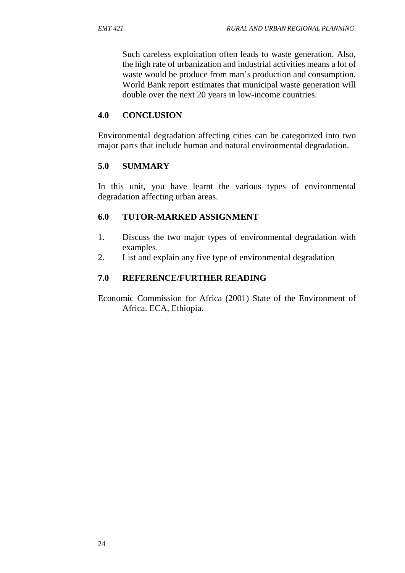Such careless exploitation often leads to waste generation. Also, the high rate of urbanization and industrial activities means a lot of waste would be produce from man's production and consumption. World Bank report estimates that municipal waste generation will double over the next 20 years in low-income countries.

## **4.0 CONCLUSION**

Environmental degradation affecting cities can be categorized into two major parts that include human and natural environmental degradation.

### **5.0 SUMMARY**

In this unit, you have learnt the various types of environmental degradation affecting urban areas.

## **6.0 TUTOR-MARKED ASSIGNMENT**

- 1. Discuss the two major types of environmental degradation with examples.
- 2. List and explain any five type of environmental degradation

## **7.0 REFERENCE/FURTHER READING**

Economic Commission for Africa (2001) State of the Environment of Africa. ECA, Ethiopia.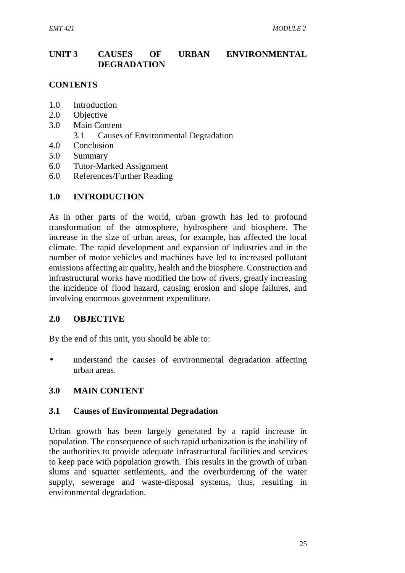## **UNIT 3 CAUSES OF URBAN ENVIRONMENTAL DEGRADATION**

### **CONTENTS**

- 1.0 Introduction
- 2.0 Objective
- 3.0 Main Content
	- 3.1 Causes of Environmental Degradation
- 4.0 Conclusion
- 5.0 Summary
- 6.0 Tutor-Marked Assignment
- 6.0 References/Further Reading

#### **1.0 INTRODUCTION**

As in other parts of the world, urban growth has led to profound transformation of the atmosphere, hydrosphere and biosphere. The increase in the size of urban areas, for example, has affected the local climate. The rapid development and expansion of industries and in the number of motor vehicles and machines have led to increased pollutant emissions affecting air quality, health and the biosphere. Construction and infrastructural works have modified the how of rivers, greatly increasing the incidence of flood hazard, causing erosion and slope failures, and involving enormous government expenditure.

#### **2.0 OBJECTIVE**

By the end of this unit, you should be able to:

 understand the causes of environmental degradation affecting urban areas.

#### **3.0 MAIN CONTENT**

#### **3.1 Causes of Environmental Degradation**

Urban growth has been largely generated by a rapid increase in population. The consequence of such rapid urbanization is the inability of the authorities to provide adequate infrastructural facilities and services to keep pace with population growth. This results in the growth of urban slums and squatter settlements, and the overburdening of the water supply, sewerage and waste-disposal systems, thus, resulting in environmental degradation.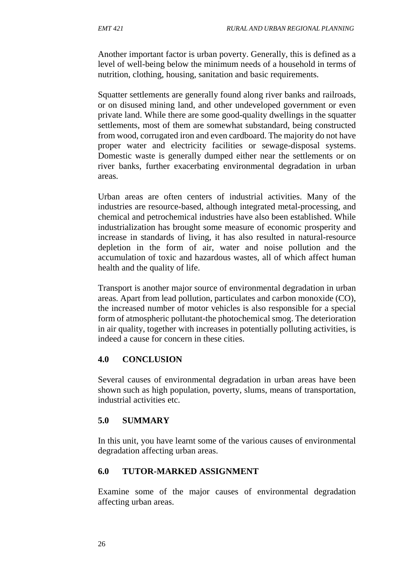Another important factor is urban poverty. Generally, this is defined as a level of well-being below the minimum needs of a household in terms of nutrition, clothing, housing, sanitation and basic requirements.

Squatter settlements are generally found along river banks and railroads, or on disused mining land, and other undeveloped government or even private land. While there are some good-quality dwellings in the squatter settlements, most of them are somewhat substandard, being constructed from wood, corrugated iron and even cardboard. The majority do not have proper water and electricity facilities or sewage-disposal systems. Domestic waste is generally dumped either near the settlements or on river banks, further exacerbating environmental degradation in urban areas.

Urban areas are often centers of industrial activities. Many of the industries are resource-based, although integrated metal-processing, and chemical and petrochemical industries have also been established. While industrialization has brought some measure of economic prosperity and increase in standards of living, it has also resulted in natural-resource depletion in the form of air, water and noise pollution and the accumulation of toxic and hazardous wastes, all of which affect human health and the quality of life.

Transport is another major source of environmental degradation in urban areas. Apart from lead pollution, particulates and carbon monoxide (CO), the increased number of motor vehicles is also responsible for a special form of atmospheric pollutant-the photochemical smog. The deterioration in air quality, together with increases in potentially polluting activities, is indeed a cause for concern in these cities.

#### **4.0 CONCLUSION**

Several causes of environmental degradation in urban areas have been shown such as high population, poverty, slums, means of transportation, industrial activities etc.

#### **5.0 SUMMARY**

In this unit, you have learnt some of the various causes of environmental degradation affecting urban areas.

#### **6.0 TUTOR-MARKED ASSIGNMENT**

Examine some of the major causes of environmental degradation affecting urban areas.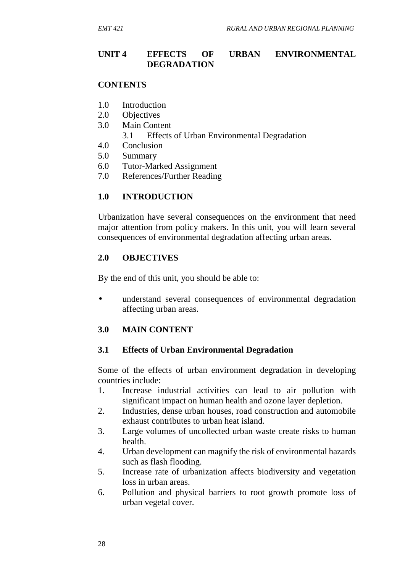#### **UNIT 4 EFFECTS OF URBAN ENVIRONMENTAL DEGRADATION**

#### **CONTENTS**

- 1.0 Introduction
- 2.0 Objectives
- 3.0 Main Content
	- 3.1 Effects of Urban Environmental Degradation
- 4.0 Conclusion
- 5.0 Summary
- 6.0 Tutor-Marked Assignment
- 7.0 References/Further Reading

#### **1.0 INTRODUCTION**

Urbanization have several consequences on the environment that need major attention from policy makers. In this unit, you will learn several consequences of environmental degradation affecting urban areas.

#### **2.0 OBJECTIVES**

By the end of this unit, you should be able to:

 understand several consequences of environmental degradation affecting urban areas.

#### **3.0 MAIN CONTENT**

#### **3.1 Effects of Urban Environmental Degradation**

Some of the effects of urban environment degradation in developing countries include:

- 1. Increase industrial activities can lead to air pollution with significant impact on human health and ozone layer depletion.
- 2. Industries, dense urban houses, road construction and automobile exhaust contributes to urban heat island.
- 3. Large volumes of uncollected urban waste create risks to human health.
- 4. Urban development can magnify the risk of environmental hazards such as flash flooding.
- 5. Increase rate of urbanization affects biodiversity and vegetation loss in urban areas.
- 6. Pollution and physical barriers to root growth promote loss of urban vegetal cover.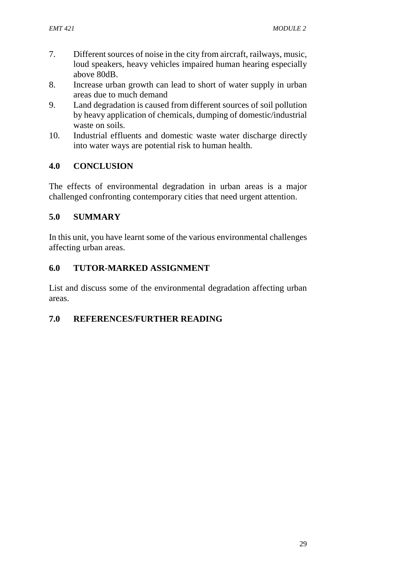- 7. Different sources of noise in the city from aircraft, railways, music, loud speakers, heavy vehicles impaired human hearing especially above 80dB.
- 8. Increase urban growth can lead to short of water supply in urban areas due to much demand
- 9. Land degradation is caused from different sources of soil pollution by heavy application of chemicals, dumping of domestic/industrial waste on soils.
- 10. Industrial effluents and domestic waste water discharge directly into water ways are potential risk to human health.

### **4.0 CONCLUSION**

The effects of environmental degradation in urban areas is a major challenged confronting contemporary cities that need urgent attention.

### **5.0 SUMMARY**

In this unit, you have learnt some of the various environmental challenges affecting urban areas.

### **6.0 TUTOR-MARKED ASSIGNMENT**

List and discuss some of the environmental degradation affecting urban areas.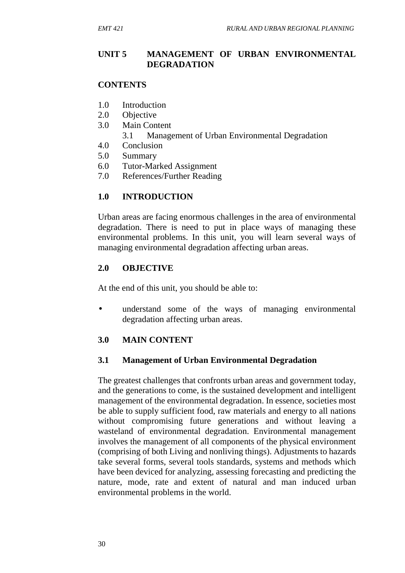#### **UNIT 5 MANAGEMENT OF URBAN ENVIRONMENTAL DEGRADATION**

#### **CONTENTS**

- 1.0 Introduction
- 2.0 Objective
- 3.0 Main Content
	- 3.1 Management of Urban Environmental Degradation
- 4.0 Conclusion
- 5.0 Summary
- 6.0 Tutor-Marked Assignment
- 7.0 References/Further Reading

#### **1.0 INTRODUCTION**

Urban areas are facing enormous challenges in the area of environmental degradation. There is need to put in place ways of managing these environmental problems. In this unit, you will learn several ways of managing environmental degradation affecting urban areas.

#### **2.0 OBJECTIVE**

At the end of this unit, you should be able to:

 understand some of the ways of managing environmental degradation affecting urban areas.

#### **3.0 MAIN CONTENT**

#### **3.1 Management of Urban Environmental Degradation**

The greatest challenges that confronts urban areas and government today, and the generations to come, is the sustained development and intelligent management of the environmental degradation. In essence, societies most be able to supply sufficient food, raw materials and energy to all nations without compromising future generations and without leaving a wasteland of environmental degradation. Environmental management involves the management of all components of the physical environment (comprising of both Living and nonliving things). Adjustments to hazards take several forms, several tools standards, systems and methods which have been deviced for analyzing, assessing forecasting and predicting the nature, mode, rate and extent of natural and man induced urban environmental problems in the world.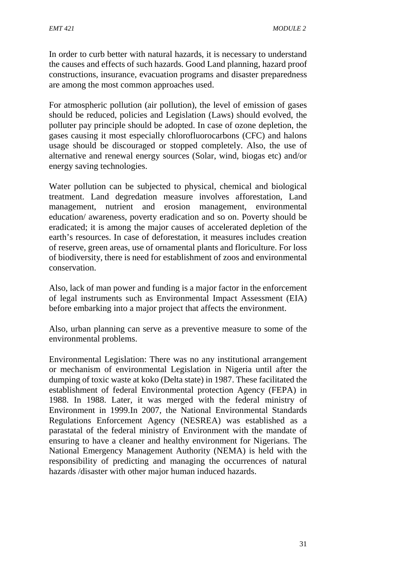In order to curb better with natural hazards, it is necessary to understand the causes and effects of such hazards. Good Land planning, hazard proof constructions, insurance, evacuation programs and disaster preparedness are among the most common approaches used.

For atmospheric pollution (air pollution), the level of emission of gases should be reduced, policies and Legislation (Laws) should evolved, the polluter pay principle should be adopted. In case of ozone depletion, the gases causing it most especially chlorofluorocarbons (CFC) and halons usage should be discouraged or stopped completely. Also, the use of alternative and renewal energy sources (Solar, wind, biogas etc) and/or energy saving technologies.

Water pollution can be subjected to physical, chemical and biological treatment. Land degredation measure involves afforestation, Land management, nutrient and erosion management, environmental education/ awareness, poverty eradication and so on. Poverty should be eradicated; it is among the major causes of accelerated depletion of the earth's resources. In case of deforestation, it measures includes creation of reserve, green areas, use of ornamental plants and floriculture. For loss of biodiversity, there is need for establishment of zoos and environmental conservation.

Also, lack of man power and funding is a major factor in the enforcement of legal instruments such as Environmental Impact Assessment (EIA) before embarking into a major project that affects the environment.

Also, urban planning can serve as a preventive measure to some of the environmental problems.

Environmental Legislation: There was no any institutional arrangement or mechanism of environmental Legislation in Nigeria until after the dumping of toxic waste at koko (Delta state) in 1987. These facilitated the establishment of federal Environmental protection Agency (FEPA) in 1988. In 1988. Later, it was merged with the federal ministry of Environment in 1999.In 2007, the National Environmental Standards Regulations Enforcement Agency (NESREA) was established as a parastatal of the federal ministry of Environment with the mandate of ensuring to have a cleaner and healthy environment for Nigerians. The National Emergency Management Authority (NEMA) is held with the responsibility of predicting and managing the occurrences of natural hazards /disaster with other major human induced hazards.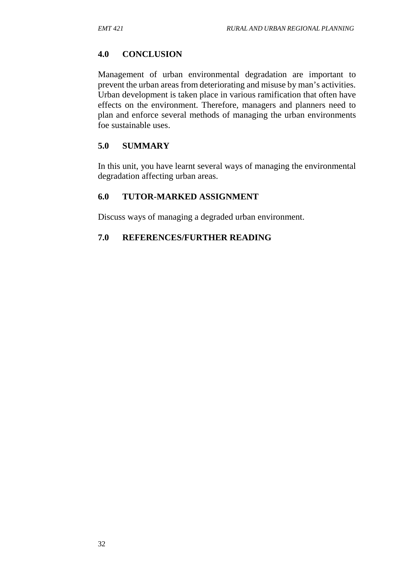#### **4.0 CONCLUSION**

Management of urban environmental degradation are important to prevent the urban areas from deteriorating and misuse by man's activities. Urban development is taken place in various ramification that often have effects on the environment. Therefore, managers and planners need to plan and enforce several methods of managing the urban environments foe sustainable uses.

#### **5.0 SUMMARY**

In this unit, you have learnt several ways of managing the environmental degradation affecting urban areas.

#### **6.0 TUTOR-MARKED ASSIGNMENT**

Discuss ways of managing a degraded urban environment.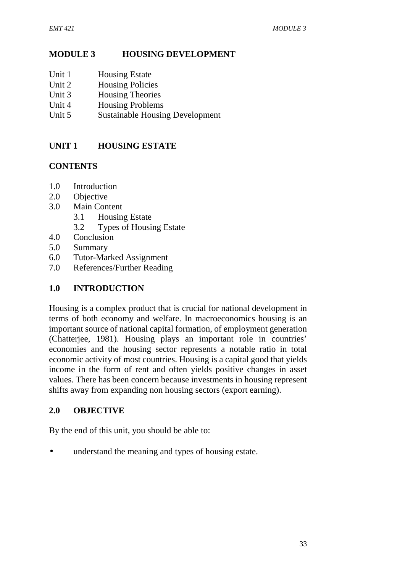## **MODULE 3 HOUSING DEVELOPMENT**

- Unit 1 Housing Estate
- Unit 2 Housing Policies
- Unit 3 Housing Theories
- Unit 4 Housing Problems
- Unit 5 Sustainable Housing Development

## **UNIT 1 HOUSING ESTATE**

## **CONTENTS**

- 1.0 Introduction
- 2.0 Objective
- 3.0 Main Content
	- 3.1 Housing Estate
	- 3.2 Types of Housing Estate
- 4.0 Conclusion
- 5.0 Summary
- 6.0 Tutor-Marked Assignment
- 7.0 References/Further Reading

## **1.0 INTRODUCTION**

Housing is a complex product that is crucial for national development in terms of both economy and welfare. In macroeconomics housing is an important source of national capital formation, of employment generation (Chatterjee, 1981). Housing plays an important role in countries' economies and the housing sector represents a notable ratio in total economic activity of most countries. Housing is a capital good that yields income in the form of rent and often yields positive changes in asset values. There has been concern because investments in housing represent shifts away from expanding non housing sectors (export earning).

## **2.0 OBJECTIVE**

By the end of this unit, you should be able to:

understand the meaning and types of housing estate.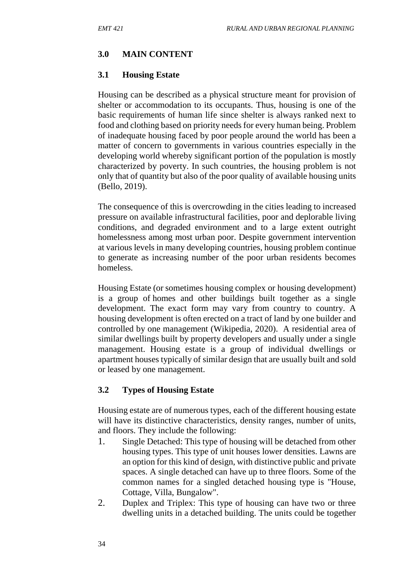### **3.0 MAIN CONTENT**

### **3.1 Housing Estate**

Housing can be described as a physical structure meant for provision of shelter or accommodation to its occupants. Thus, housing is one of the basic requirements of human life since shelter is always ranked next to food and clothing based on priority needs for every human being. Problem of inadequate housing faced by poor people around the world has been a matter of concern to governments in various countries especially in the developing world whereby significant portion of the population is mostly characterized by poverty. In such countries, the housing problem is not only that of quantity but also of the poor quality of available housing units (Bello, 2019).

The consequence of this is overcrowding in the cities leading to increased pressure on available infrastructural facilities, poor and deplorable living conditions, and degraded environment and to a large extent outright homelessness among most urban poor. Despite government intervention at various levels in many developing countries, housing problem continue to generate as increasing number of the poor urban residents becomes homeless.

Housing Estate (or sometimes housing complex or housing development) is a group of homes and other buildings built together as a single development. The exact form may vary from country to country. A housing development is often erected on a tract of land by one builder and controlled by one management (Wikipedia, 2020). A residential area of similar dwellings built by property developers and usually under a single management. Housing estate is a group of individual dwellings or apartment houses typically of similar design that are usually built and sold or leased by one management.

## **3.2 Types of Housing Estate**

Housing estate are of numerous types, each of the different housing estate will have its distinctive characteristics, density ranges, number of units, and floors. They include the following:

- 1. Single Detached: This type of housing will be detached from other housing types. This type of unit houses lower densities. Lawns are an option for this kind of design, with distinctive public and private spaces. A single detached can have up to three floors. Some of the common names for a singled detached housing type is "House, Cottage, Villa, Bungalow".
- 2. Duplex and Triplex: This type of housing can have two or three dwelling units in a detached building. The units could be together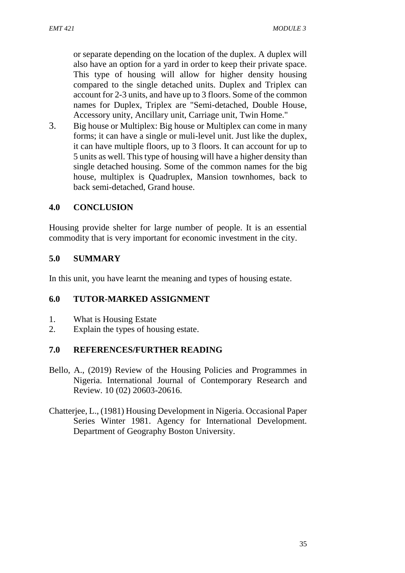or separate depending on the location of the duplex. A duplex will also have an option for a yard in order to keep their private space. This type of housing will allow for higher density housing compared to the single detached units. Duplex and Triplex can account for 2-3 units, and have up to 3 floors. Some of the common names for Duplex, Triplex are "Semi-detached, Double House, Accessory unity, Ancillary unit, Carriage unit, Twin Home."

3. Big house or Multiplex: Big house or Multiplex can come in many forms; it can have a single or muli-level unit. Just like the duplex, it can have multiple floors, up to 3 floors. It can account for up to 5 units as well. This type of housing will have a higher density than single detached housing. Some of the common names for the big house, multiplex is Quadruplex, Mansion townhomes, back to back semi-detached, Grand house.

### **4.0 CONCLUSION**

Housing provide shelter for large number of people. It is an essential commodity that is very important for economic investment in the city.

### **5.0 SUMMARY**

In this unit, you have learnt the meaning and types of housing estate.

### **6.0 TUTOR-MARKED ASSIGNMENT**

- 1. What is Housing Estate
- 2. Explain the types of housing estate.

- Bello, A., (2019) Review of the Housing Policies and Programmes in Nigeria. International Journal of Contemporary Research and Review. 10 (02) 20603-20616.
- Chatterjee, L., (1981) Housing Development in Nigeria. Occasional Paper Series Winter 1981. Agency for International Development. Department of Geography Boston University.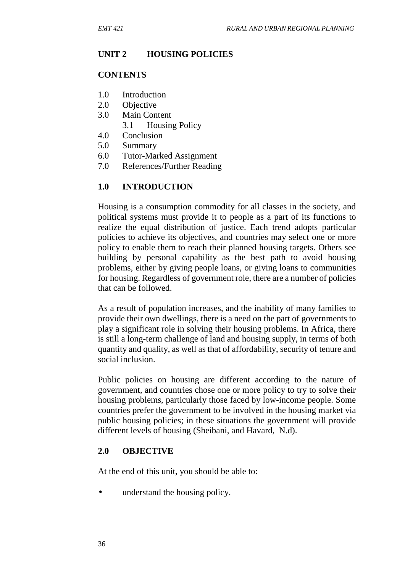### **UNIT 2 HOUSING POLICIES**

#### **CONTENTS**

- 1.0 Introduction
- 2.0 Objective
- 3.0 Main Content
	- 3.1 Housing Policy
- 4.0 Conclusion
- 5.0 Summary
- 6.0 Tutor-Marked Assignment
- 7.0 References/Further Reading

### **1.0 INTRODUCTION**

Housing is a consumption commodity for all classes in the society, and political systems must provide it to people as a part of its functions to realize the equal distribution of justice. Each trend adopts particular policies to achieve its objectives, and countries may select one or more policy to enable them to reach their planned housing targets. Others see building by personal capability as the best path to avoid housing problems, either by giving people loans, or giving loans to communities for housing. Regardless of government role, there are a number of policies that can be followed.

As a result of population increases, and the inability of many families to provide their own dwellings, there is a need on the part of governments to play a significant role in solving their housing problems. In Africa, there is still a long-term challenge of land and housing supply, in terms of both quantity and quality, as well as that of affordability, security of tenure and social inclusion.

Public policies on housing are different according to the nature of government, and countries chose one or more policy to try to solve their housing problems, particularly those faced by low-income people. Some countries prefer the government to be involved in the housing market via public housing policies; in these situations the government will provide different levels of housing (Sheibani, and Havard, N.d).

### **2.0 OBJECTIVE**

At the end of this unit, you should be able to:

• understand the housing policy.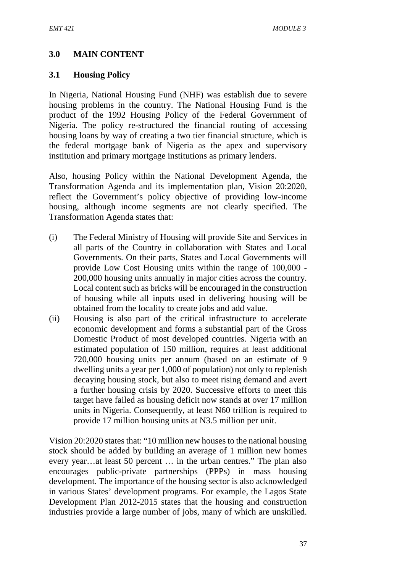## **3.0 MAIN CONTENT**

### **3.1 Housing Policy**

In Nigeria, National Housing Fund (NHF) was establish due to severe housing problems in the country. The National Housing Fund is the product of the 1992 Housing Policy of the Federal Government of Nigeria. The policy re-structured the financial routing of accessing housing loans by way of creating a two tier financial structure, which is the federal mortgage bank of Nigeria as the apex and supervisory institution and primary mortgage institutions as primary lenders.

Also, housing Policy within the National Development Agenda, the Transformation Agenda and its implementation plan, Vision 20:2020, reflect the Government's policy objective of providing low-income housing, although income segments are not clearly specified. The Transformation Agenda states that:

- (i) The Federal Ministry of Housing will provide Site and Services in all parts of the Country in collaboration with States and Local Governments. On their parts, States and Local Governments will provide Low Cost Housing units within the range of 100,000 - 200,000 housing units annually in major cities across the country. Local content such as bricks will be encouraged in the construction of housing while all inputs used in delivering housing will be obtained from the locality to create jobs and add value.
- (ii) Housing is also part of the critical infrastructure to accelerate economic development and forms a substantial part of the Gross Domestic Product of most developed countries. Nigeria with an estimated population of 150 million, requires at least additional 720,000 housing units per annum (based on an estimate of 9 dwelling units a year per 1,000 of population) not only to replenish decaying housing stock, but also to meet rising demand and avert a further housing crisis by 2020. Successive efforts to meet this target have failed as housing deficit now stands at over 17 million units in Nigeria. Consequently, at least N60 trillion is required to provide 17 million housing units at N3.5 million per unit.

Vision 20:2020 states that: "10 million new houses to the national housing stock should be added by building an average of 1 million new homes every year…at least 50 percent … in the urban centres." The plan also encourages public-private partnerships (PPPs) in mass housing development. The importance of the housing sector is also acknowledged in various States' development programs. For example, the Lagos State Development Plan 2012-2015 states that the housing and construction industries provide a large number of jobs, many of which are unskilled.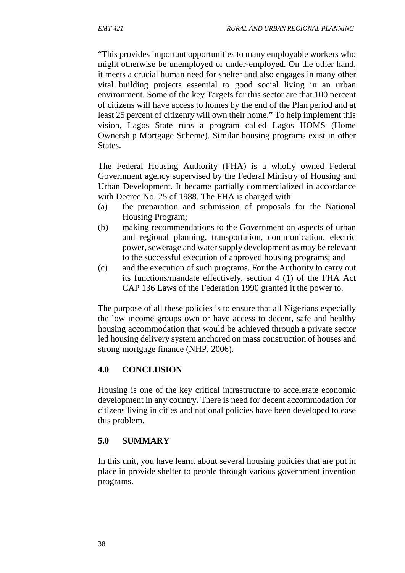"This provides important opportunities to many employable workers who might otherwise be unemployed or under-employed. On the other hand, it meets a crucial human need for shelter and also engages in many other vital building projects essential to good social living in an urban environment. Some of the key Targets for this sector are that 100 percent of citizens will have access to homes by the end of the Plan period and at least 25 percent of citizenry will own their home." To help implement this vision, Lagos State runs a program called Lagos HOMS (Home Ownership Mortgage Scheme). Similar housing programs exist in other States.

The Federal Housing Authority (FHA) is a wholly owned Federal Government agency supervised by the Federal Ministry of Housing and Urban Development. It became partially commercialized in accordance with Decree No. 25 of 1988. The FHA is charged with:

- (a) the preparation and submission of proposals for the National Housing Program;
- (b) making recommendations to the Government on aspects of urban and regional planning, transportation, communication, electric power, sewerage and water supply development as may be relevant to the successful execution of approved housing programs; and
- (c) and the execution of such programs. For the Authority to carry out its functions/mandate effectively, section 4 (1) of the FHA Act CAP 136 Laws of the Federation 1990 granted it the power to.

The purpose of all these policies is to ensure that all Nigerians especially the low income groups own or have access to decent, safe and healthy housing accommodation that would be achieved through a private sector led housing delivery system anchored on mass construction of houses and strong mortgage finance (NHP, 2006).

## **4.0 CONCLUSION**

Housing is one of the key critical infrastructure to accelerate economic development in any country. There is need for decent accommodation for citizens living in cities and national policies have been developed to ease this problem.

## **5.0 SUMMARY**

In this unit, you have learnt about several housing policies that are put in place in provide shelter to people through various government invention programs.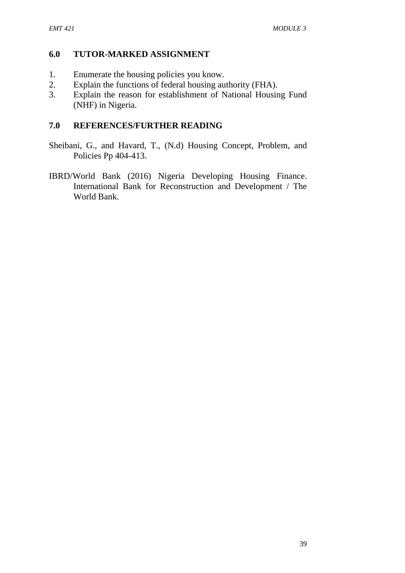### **6.0 TUTOR-MARKED ASSIGNMENT**

- 1. Enumerate the housing policies you know.
- 2. Explain the functions of federal housing authority (FHA).
- 3. Explain the reason for establishment of National Housing Fund (NHF) in Nigeria.

- Sheibani, G., and Havard, T., (N.d) Housing Concept, Problem, and Policies Pp 404-413.
- IBRD/World Bank (2016) Nigeria Developing Housing Finance. International Bank for Reconstruction and Development / The World Bank.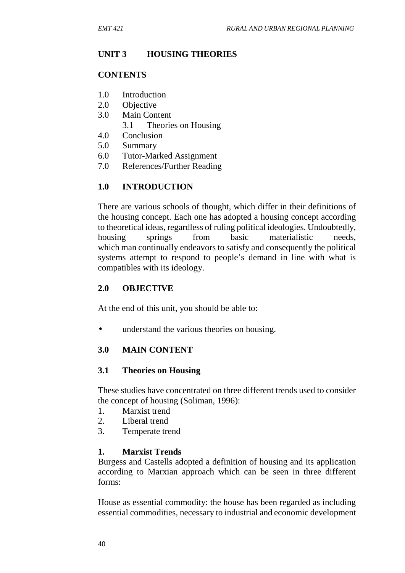## **UNIT 3 HOUSING THEORIES**

#### **CONTENTS**

- 1.0 Introduction
- 2.0 Objective
- 3.0 Main Content
	- 3.1 Theories on Housing
- 4.0 Conclusion
- 5.0 Summary
- 6.0 Tutor-Marked Assignment
- 7.0 References/Further Reading

### **1.0 INTRODUCTION**

There are various schools of thought, which differ in their definitions of the housing concept. Each one has adopted a housing concept according to theoretical ideas, regardless of ruling political ideologies. Undoubtedly, housing springs from basic materialistic needs, which man continually endeavors to satisfy and consequently the political systems attempt to respond to people's demand in line with what is compatibles with its ideology.

### **2.0 OBJECTIVE**

At the end of this unit, you should be able to:

• understand the various theories on housing.

### **3.0 MAIN CONTENT**

### **3.1 Theories on Housing**

These studies have concentrated on three different trends used to consider the concept of housing (Soliman, 1996):

- 1. Marxist trend
- 2. Liberal trend
- 3. Temperate trend

### **1. Marxist Trends**

Burgess and Castells adopted a definition of housing and its application according to Marxian approach which can be seen in three different forms:

House as essential commodity: the house has been regarded as including essential commodities, necessary to industrial and economic development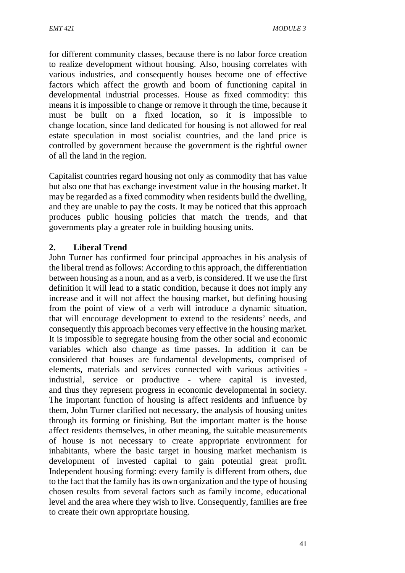for different community classes, because there is no labor force creation to realize development without housing. Also, housing correlates with various industries, and consequently houses become one of effective factors which affect the growth and boom of functioning capital in developmental industrial processes. House as fixed commodity: this means it is impossible to change or remove it through the time, because it must be built on a fixed location, so it is impossible to change location, since land dedicated for housing is not allowed for real estate speculation in most socialist countries, and the land price is controlled by government because the government is the rightful owner of all the land in the region.

Capitalist countries regard housing not only as commodity that has value but also one that has exchange investment value in the housing market. It may be regarded as a fixed commodity when residents build the dwelling, and they are unable to pay the costs. It may be noticed that this approach produces public housing policies that match the trends, and that governments play a greater role in building housing units.

### **2. Liberal Trend**

John Turner has confirmed four principal approaches in his analysis of the liberal trend as follows: According to this approach, the differentiation between housing as a noun, and as a verb, is considered. If we use the first definition it will lead to a static condition, because it does not imply any increase and it will not affect the housing market, but defining housing from the point of view of a verb will introduce a dynamic situation, that will encourage development to extend to the residents' needs, and consequently this approach becomes very effective in the housing market. It is impossible to segregate housing from the other social and economic variables which also change as time passes. In addition it can be considered that houses are fundamental developments, comprised of elements, materials and services connected with various activities industrial, service or productive - where capital is invested, and thus they represent progress in economic developmental in society. The important function of housing is affect residents and influence by them, John Turner clarified not necessary, the analysis of housing unites through its forming or finishing. But the important matter is the house affect residents themselves, in other meaning, the suitable measurements of house is not necessary to create appropriate environment for inhabitants, where the basic target in housing market mechanism is development of invested capital to gain potential great profit. Independent housing forming: every family is different from others, due to the fact that the family has its own organization and the type of housing chosen results from several factors such as family income, educational level and the area where they wish to live. Consequently, families are free to create their own appropriate housing.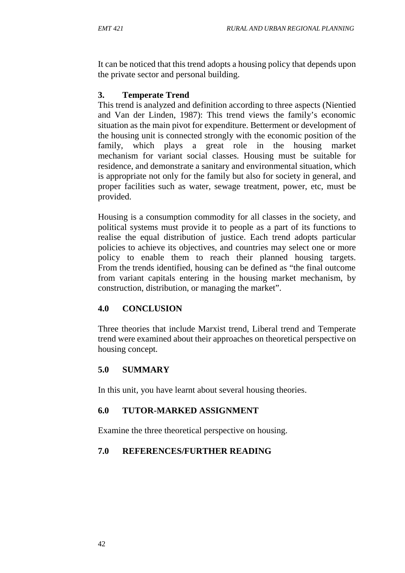It can be noticed that this trend adopts a housing policy that depends upon the private sector and personal building.

## **3. Temperate Trend**

This trend is analyzed and definition according to three aspects (Nientied and Van der Linden, 1987): This trend views the family's economic situation as the main pivot for expenditure. Betterment or development of the housing unit is connected strongly with the economic position of the family, which plays a great role in the housing market mechanism for variant social classes. Housing must be suitable for residence, and demonstrate a sanitary and environmental situation, which is appropriate not only for the family but also for society in general, and proper facilities such as water, sewage treatment, power, etc, must be provided.

Housing is a consumption commodity for all classes in the society, and political systems must provide it to people as a part of its functions to realise the equal distribution of justice. Each trend adopts particular policies to achieve its objectives, and countries may select one or more policy to enable them to reach their planned housing targets. From the trends identified, housing can be defined as "the final outcome from variant capitals entering in the housing market mechanism, by construction, distribution, or managing the market".

# **4.0 CONCLUSION**

Three theories that include Marxist trend, Liberal trend and Temperate trend were examined about their approaches on theoretical perspective on housing concept.

## **5.0 SUMMARY**

In this unit, you have learnt about several housing theories.

## **6.0 TUTOR-MARKED ASSIGNMENT**

Examine the three theoretical perspective on housing.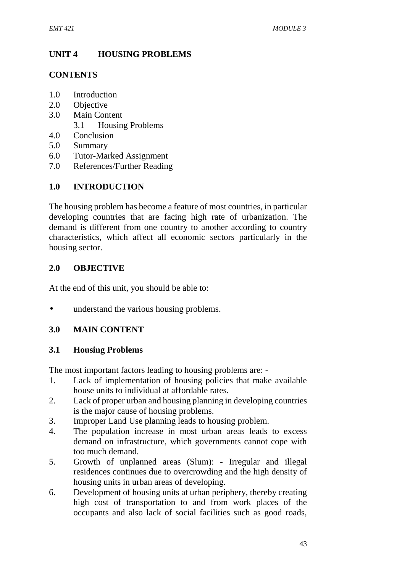# **UNIT 4 HOUSING PROBLEMS**

### **CONTENTS**

- 1.0 Introduction
- 2.0 Objective
- 3.0 Main Content
	- 3.1 Housing Problems
- 4.0 Conclusion
- 5.0 Summary
- 6.0 Tutor-Marked Assignment
- 7.0 References/Further Reading

## **1.0 INTRODUCTION**

The housing problem has become a feature of most countries, in particular developing countries that are facing high rate of urbanization. The demand is different from one country to another according to country characteristics, which affect all economic sectors particularly in the housing sector.

### **2.0 OBJECTIVE**

At the end of this unit, you should be able to:

understand the various housing problems.

## **3.0 MAIN CONTENT**

### **3.1 Housing Problems**

The most important factors leading to housing problems are: -

- 1. Lack of implementation of housing policies that make available house units to individual at affordable rates.
- 2. Lack of proper urban and housing planning in developing countries is the major cause of housing problems.
- 3. Improper Land Use planning leads to housing problem.
- 4. The population increase in most urban areas leads to excess demand on infrastructure, which governments cannot cope with too much demand.
- 5. Growth of unplanned areas (Slum): Irregular and illegal residences continues due to overcrowding and the high density of housing units in urban areas of developing.
- 6. Development of housing units at urban periphery, thereby creating high cost of transportation to and from work places of the occupants and also lack of social facilities such as good roads,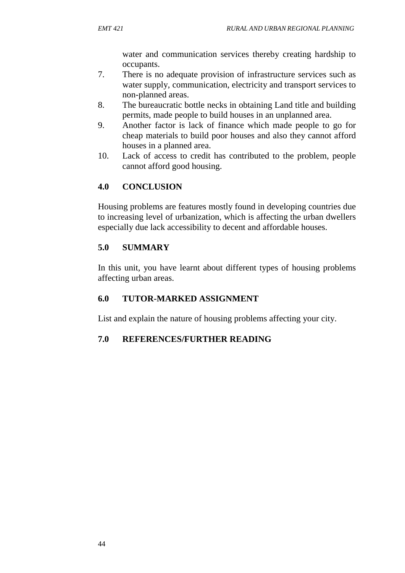water and communication services thereby creating hardship to occupants.

- 7. There is no adequate provision of infrastructure services such as water supply, communication, electricity and transport services to non-planned areas.
- 8. The bureaucratic bottle necks in obtaining Land title and building permits, made people to build houses in an unplanned area.
- 9. Another factor is lack of finance which made people to go for cheap materials to build poor houses and also they cannot afford houses in a planned area.
- 10. Lack of access to credit has contributed to the problem, people cannot afford good housing.

# **4.0 CONCLUSION**

Housing problems are features mostly found in developing countries due to increasing level of urbanization, which is affecting the urban dwellers especially due lack accessibility to decent and affordable houses.

## **5.0 SUMMARY**

In this unit, you have learnt about different types of housing problems affecting urban areas.

## **6.0 TUTOR-MARKED ASSIGNMENT**

List and explain the nature of housing problems affecting your city.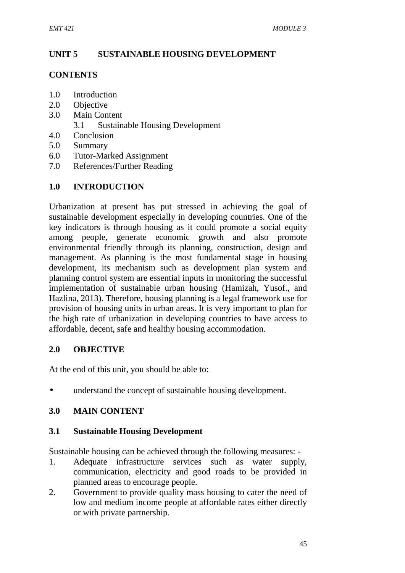## **UNIT 5 SUSTAINABLE HOUSING DEVELOPMENT**

#### **CONTENTS**

- 1.0 Introduction
- 2.0 Objective
- 3.0 Main Content
	- 3.1 Sustainable Housing Development
- 4.0 Conclusion
- 5.0 Summary
- 6.0 Tutor-Marked Assignment
- 7.0 References/Further Reading

### **1.0 INTRODUCTION**

Urbanization at present has put stressed in achieving the goal of sustainable development especially in developing countries. One of the key indicators is through housing as it could promote a social equity among people, generate economic growth and also promote environmental friendly through its planning, construction, design and management. As planning is the most fundamental stage in housing development, its mechanism such as development plan system and planning control system are essential inputs in monitoring the successful implementation of sustainable urban housing (Hamizah, Yusof., and Hazlina, 2013). Therefore, housing planning is a legal framework use for provision of housing units in urban areas. It is very important to plan for the high rate of urbanization in developing countries to have access to affordable, decent, safe and healthy housing accommodation.

### **2.0 OBJECTIVE**

At the end of this unit, you should be able to:

understand the concept of sustainable housing development.

### **3.0 MAIN CONTENT**

#### **3.1 Sustainable Housing Development**

Sustainable housing can be achieved through the following measures: -

- 1. Adequate infrastructure services such as water supply, communication, electricity and good roads to be provided in planned areas to encourage people.
- 2. Government to provide quality mass housing to cater the need of low and medium income people at affordable rates either directly or with private partnership.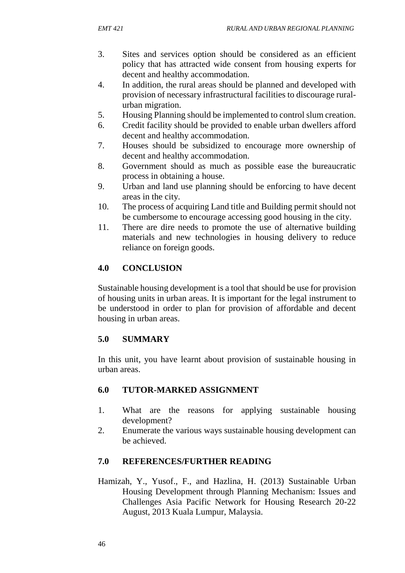- 3. Sites and services option should be considered as an efficient policy that has attracted wide consent from housing experts for decent and healthy accommodation.
- 4. In addition, the rural areas should be planned and developed with provision of necessary infrastructural facilities to discourage rural urban migration.
- 5. Housing Planning should be implemented to control slum creation.
- 6. Credit facility should be provided to enable urban dwellers afford decent and healthy accommodation.
- 7. Houses should be subsidized to encourage more ownership of decent and healthy accommodation.
- 8. Government should as much as possible ease the bureaucratic process in obtaining a house.
- 9. Urban and land use planning should be enforcing to have decent areas in the city.
- 10. The process of acquiring Land title and Building permit should not be cumbersome to encourage accessing good housing in the city.
- 11. There are dire needs to promote the use of alternative building materials and new technologies in housing delivery to reduce reliance on foreign goods.

## **4.0 CONCLUSION**

Sustainable housing development is a tool that should be use for provision of housing units in urban areas. It is important for the legal instrument to be understood in order to plan for provision of affordable and decent housing in urban areas.

## **5.0 SUMMARY**

In this unit, you have learnt about provision of sustainable housing in urban areas.

## **6.0 TUTOR-MARKED ASSIGNMENT**

- 1. What are the reasons for applying sustainable housing development?
- 2. Enumerate the various ways sustainable housing development can be achieved.

## **7.0 REFERENCES/FURTHER READING**

Hamizah, Y., Yusof., F., and Hazlina, H. (2013) Sustainable Urban Housing Development through Planning Mechanism: Issues and Challenges Asia Pacific Network for Housing Research 20-22 August, 2013 Kuala Lumpur, Malaysia.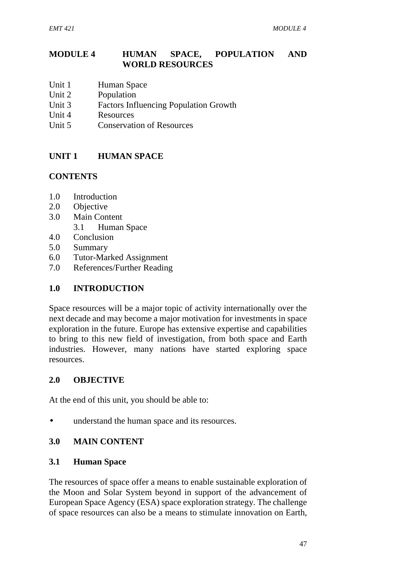### **MODULE 4 HUMAN SPACE, POPULATION AND WORLD RESOURCES**

- Unit 1 Human Space
- Unit 2 Population<br>
Unit 3 Factors Inf.
- Factors Influencing Population Growth
- Unit 4 Resources
- Unit 5 Conservation of Resources

## **UNIT 1 HUMAN SPACE**

### **CONTENTS**

- 1.0 Introduction
- 2.0 Objective
- 3.0 Main Content
	- 3.1 Human Space
- 4.0 Conclusion
- 5.0 Summary
- 6.0 Tutor-Marked Assignment
- 7.0 References/Further Reading

### **1.0 INTRODUCTION**

Space resources will be a major topic of activity internationally over the next decade and may become a major motivation for investments in space exploration in the future. Europe has extensive expertise and capabilities to bring to this new field of investigation, from both space and Earth industries. However, many nations have started exploring space resources.

### **2.0 OBJECTIVE**

At the end of this unit, you should be able to:

understand the human space and its resources.

### **3.0 MAIN CONTENT**

### **3.1 Human Space**

The resources of space offer a means to enable sustainable exploration of the Moon and Solar System beyond in support of the advancement of European Space Agency (ESA) space exploration strategy. The challenge of space resources can also be a means to stimulate innovation on Earth,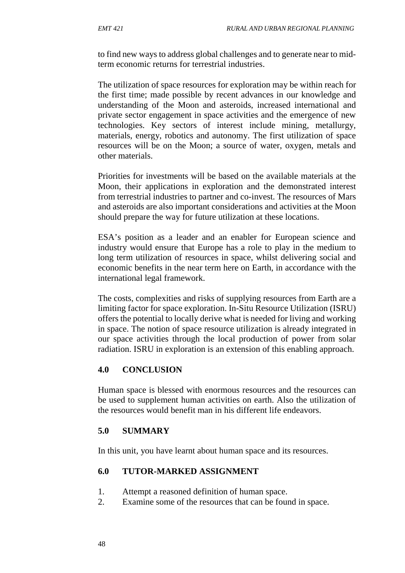to find new ways to address global challenges and to generate near to midterm economic returns for terrestrial industries.

The utilization of space resources for exploration may be within reach for the first time; made possible by recent advances in our knowledge and understanding of the Moon and asteroids, increased international and private sector engagement in space activities and the emergence of new technologies. Key sectors of interest include mining, metallurgy, materials, energy, robotics and autonomy. The first utilization of space resources will be on the Moon; a source of water, oxygen, metals and other materials.

Priorities for investments will be based on the available materials at the Moon, their applications in exploration and the demonstrated interest from terrestrial industries to partner and co-invest. The resources of Mars and asteroids are also important considerations and activities at the Moon should prepare the way for future utilization at these locations.

ESA's position as a leader and an enabler for European science and industry would ensure that Europe has a role to play in the medium to long term utilization of resources in space, whilst delivering social and economic benefits in the near term here on Earth, in accordance with the international legal framework.

The costs, complexities and risks of supplying resources from Earth are a limiting factor for space exploration. In-Situ Resource Utilization (ISRU) offers the potential to locally derive what is needed for living and working in space. The notion of space resource utilization is already integrated in our space activities through the local production of power from solar radiation. ISRU in exploration is an extension of this enabling approach.

### **4.0 CONCLUSION**

Human space is blessed with enormous resources and the resources can be used to supplement human activities on earth. Also the utilization of the resources would benefit man in his different life endeavors.

#### **5.0 SUMMARY**

In this unit, you have learnt about human space and its resources.

#### **6.0 TUTOR-MARKED ASSIGNMENT**

- 1. Attempt a reasoned definition of human space.
- 2. Examine some of the resources that can be found in space.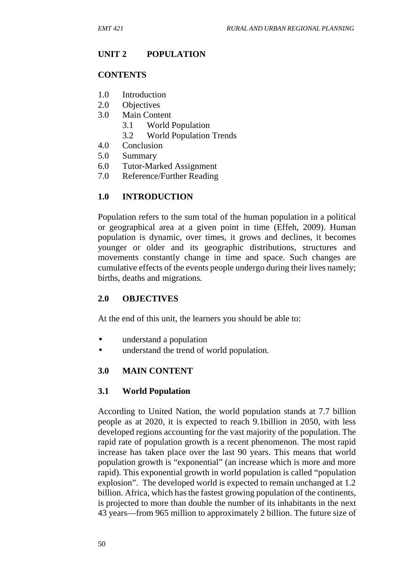## **UNIT 2 POPULATION**

#### **CONTENTS**

- 1.0 Introduction<br>2.0 Objectives
- **Objectives**
- 3.0 Main Content
	- 3.1 World Population
	- 3.2 World Population Trends
- 4.0 Conclusion
- 5.0 Summary
- 6.0 Tutor-Marked Assignment
- 7.0 Reference/Further Reading

### **1.0 INTRODUCTION**

Population refers to the sum total of the human population in a political or geographical area at a given point in time (Effeh, 2009). Human population is dynamic, over times, it grows and declines, it becomes younger or older and its geographic distributions, structures and movements constantly change in time and space. Such changes are cumulative effects of the events people undergo during their lives namely; births, deaths and migrations.

### **2.0 OBJECTIVES**

At the end of this unit, the learners you should be able to:

- understand a population
- understand the trend of world population.

### **3.0 MAIN CONTENT**

#### **3.1 World Population**

According to United Nation, the world population stands at 7.7 billion people as at 2020, it is expected to reach 9.1billion in 2050, with less developed regions accounting for the vast majority of the population. The rapid rate of population growth is a recent phenomenon. The most rapid increase has taken place over the last 90 years. This means that world population growth is "exponential" (an increase which is more and more rapid). This exponential growth in world population is called "population explosion". The developed world is expected to remain unchanged at 1.2 billion. Africa, which has the fastest growing population of the continents, is projected to more than double the number of its inhabitants in the next 43 years—from 965 million to approximately 2 billion. The future size of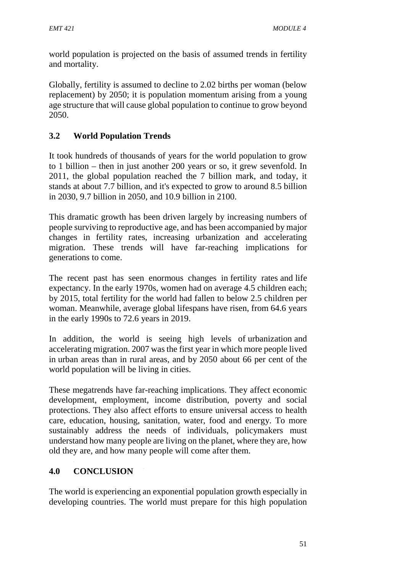world population is projected on the basis of assumed trends in fertility and mortality.

Globally, fertility is assumed to decline to 2.02 births per woman (below replacement) by 2050; it is population momentum arising from a young age structure that will cause global population to continue to grow beyond 2050.

# **3.2 World Population Trends**

It took hundreds of thousands of years for the world population to grow to 1 billion – then in just another 200 years or so, it grew sevenfold. In 2011, the global population reached the 7 billion mark, and today, it stands at about 7.7 billion, and it's expected to grow to around 8.5 billion in 2030, 9.7 billion in 2050, and 10.9 billion in 2100.

This dramatic growth has been driven largely by increasing numbers of people surviving to reproductive age, and has been accompanied by major changes in fertility rates, increasing urbanization and accelerating migration. These trends will have far-reaching implications for generations to come.

The recent past has seen enormous changes in fertility rates and life expectancy. In the early 1970s, women had on average 4.5 children each; by 2015, total fertility for the world had fallen to below 2.5 children per woman. Meanwhile, average global lifespans have risen, from 64.6 years in the early 1990s to 72.6 years in 2019.

In addition, the world is seeing high levels of urbanization and accelerating migration. 2007 was the first year in which more people lived in urban areas than in rural areas, and by 2050 about 66 per cent of the world population will be living in cities.

These megatrends have far-reaching implications. They affect economic development, employment, income distribution, poverty and social protections. They also affect efforts to ensure universal access to health care, education, housing, sanitation, water, food and energy. To more sustainably address the needs of individuals, policymakers must understand how many people are living on the planet, where they are, how old they are, and how many people will come after them.

# **4.0 CONCLUSION**

The world is experiencing an exponential population growth especially in developing countries. The world must prepare for this high population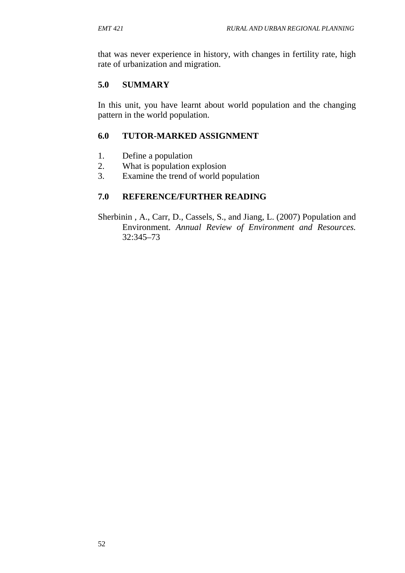that was never experience in history, with changes in fertility rate, high rate of urbanization and migration.

### **5.0 SUMMARY**

In this unit, you have learnt about world population and the changing pattern in the world population.

### **6.0 TUTOR-MARKED ASSIGNMENT**

- 1. Define a population
- 2. What is population explosion
- 3. Examine the trend of world population

### **7.0 REFERENCE/FURTHER READING**

Sherbinin , A., Carr, D., Cassels, S., and Jiang, L. (2007) Population and Environment. *Annual Review of Environment and Resources.* 32:345–73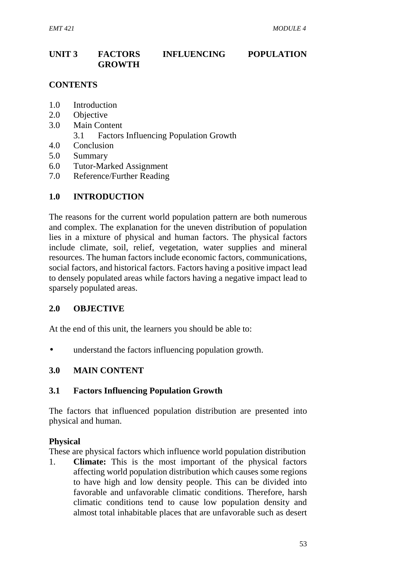## **UNIT 3 FACTORS INFLUENCING POPULATION GROWTH**

### **CONTENTS**

- 1.0 Introduction
- 2.0 Objective
- 3.0 Main Content
	- 3.1 Factors Influencing Population Growth
- 4.0 Conclusion
- 5.0 Summary
- 6.0 Tutor-Marked Assignment
- 7.0 Reference/Further Reading

#### **1.0 INTRODUCTION**

The reasons for the current world population pattern are both numerous and complex. The explanation for the uneven distribution of population lies in a mixture of physical and human factors. The physical factors include climate, soil, relief, vegetation, water supplies and mineral resources. The human factors include economic factors, communications, social factors, and historical factors. Factors having a positive impact lead to densely populated areas while factors having a negative impact lead to sparsely populated areas.

### **2.0 OBJECTIVE**

At the end of this unit, the learners you should be able to:

understand the factors influencing population growth.

### **3.0 MAIN CONTENT**

#### **3.1 Factors Influencing Population Growth**

The factors that influenced population distribution are presented into physical and human.

#### **Physical**

These are physical factors which influence world population distribution

1. **Climate:** This is the most important of the physical factors affecting world population distribution which causes some regions to have high and low density people. This can be divided into favorable and unfavorable climatic conditions. Therefore, harsh climatic conditions tend to cause low population density and almost total inhabitable places that are unfavorable such as desert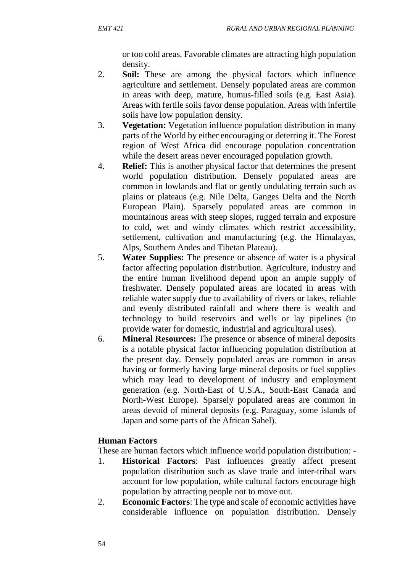or too cold areas. Favorable climates are attracting high population density.

- 2. **Soil:** These are among the physical factors which influence agriculture and settlement. Densely populated areas are common in areas with deep, mature, humus-filled soils (e.g. East Asia). Areas with fertile soils favor dense population. Areas with infertile soils have low population density.
- 3. **Vegetation:** Vegetation influence population distribution in many parts of the World by either encouraging or deterring it. The Forest region of West Africa did encourage population concentration while the desert areas never encouraged population growth.
- 4. **Relief:** This is another physical factor that determines the present world population distribution. Densely populated areas are common in lowlands and flat or gently undulating terrain such as plains or plateaus (e.g. Nile Delta, Ganges Delta and the North European Plain). Sparsely populated areas are common in mountainous areas with steep slopes, rugged terrain and exposure to cold, wet and windy climates which restrict accessibility, settlement, cultivation and manufacturing (e.g. the Himalayas, Alps, Southern Andes and Tibetan Plateau).
- 5. **Water Supplies:** The presence or absence of water is a physical factor affecting population distribution. Agriculture, industry and the entire human livelihood depend upon an ample supply of freshwater. Densely populated areas are located in areas with reliable water supply due to availability of rivers or lakes, reliable and evenly distributed rainfall and where there is wealth and technology to build reservoirs and wells or lay pipelines (to provide water for domestic, industrial and agricultural uses).
- 6. **Mineral Resources:** The presence or absence of mineral deposits is a notable physical factor influencing population distribution at the present day. Densely populated areas are common in areas having or formerly having large mineral deposits or fuel supplies which may lead to development of industry and employment generation (e.g. North-East of U.S.A., South-East Canada and North-West Europe). Sparsely populated areas are common in areas devoid of mineral deposits (e.g. Paraguay, some islands of Japan and some parts of the African Sahel).

## **Human Factors**

These are human factors which influence world population distribution: -

- 1. **Historical Factors**: Past influences greatly affect present population distribution such as slave trade and inter-tribal wars account for low population, while cultural factors encourage high population by attracting people not to move out.
- 2. **Economic Factors**: The type and scale of economic activities have considerable influence on population distribution. Densely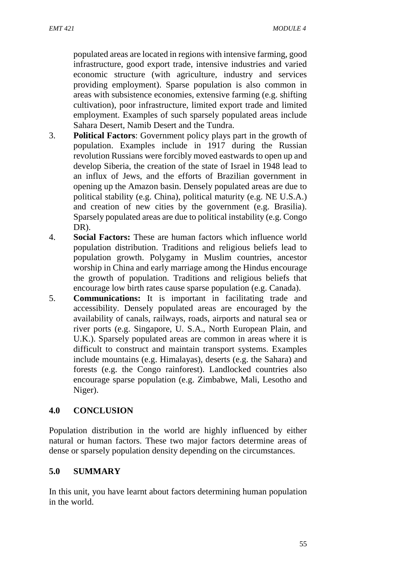populated areas are located in regions with intensive farming, good infrastructure, good export trade, intensive industries and varied economic structure (with agriculture, industry and services providing employment). Sparse population is also common in areas with subsistence economies, extensive farming (e.g. shifting cultivation), poor infrastructure, limited export trade and limited employment. Examples of such sparsely populated areas include Sahara Desert, Namib Desert and the Tundra.

- 3. **Political Factors**: Government policy plays part in the growth of population. Examples include in 1917 during the Russian revolution Russians were forcibly moved eastwards to open up and develop Siberia, the creation of the state of Israel in 1948 lead to an influx of Jews, and the efforts of Brazilian government in opening up the Amazon basin. Densely populated areas are due to political stability (e.g. China), political maturity (e.g. NE U.S.A.) and creation of new cities by the government (e.g. Brasilia). Sparsely populated areas are due to political instability (e.g. Congo DR).
- 4. **Social Factors:** These are human factors which influence world population distribution. Traditions and religious beliefs lead to population growth. Polygamy in Muslim countries, ancestor worship in China and early marriage among the Hindus encourage the growth of population. Traditions and religious beliefs that encourage low birth rates cause sparse population (e.g. Canada).
- 5. **Communications:** It is important in facilitating trade and accessibility. Densely populated areas are encouraged by the availability of canals, railways, roads, airports and natural sea or river ports (e.g. Singapore, U. S.A., North European Plain, and U.K.). Sparsely populated areas are common in areas where it is difficult to construct and maintain transport systems. Examples include mountains (e.g. Himalayas), deserts (e.g. the Sahara) and forests (e.g. the Congo rainforest). Landlocked countries also encourage sparse population (e.g. Zimbabwe, Mali, Lesotho and Niger).

## **4.0 CONCLUSION**

Population distribution in the world are highly influenced by either natural or human factors. These two major factors determine areas of dense or sparsely population density depending on the circumstances.

### **5.0 SUMMARY**

In this unit, you have learnt about factors determining human population in the world.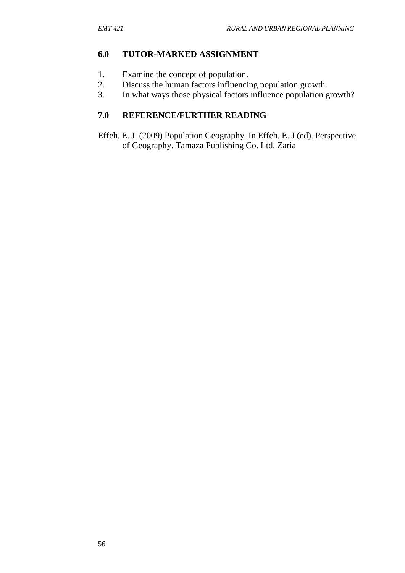### **6.0 TUTOR-MARKED ASSIGNMENT**

- 1. Examine the concept of population.
- 2. Discuss the human factors influencing population growth.
- 3. In what ways those physical factors influence population growth?

### **7.0 REFERENCE/FURTHER READING**

Effeh, E. J. (2009) Population Geography. In Effeh, E. J (ed). Perspective of Geography. Tamaza Publishing Co. Ltd. Zaria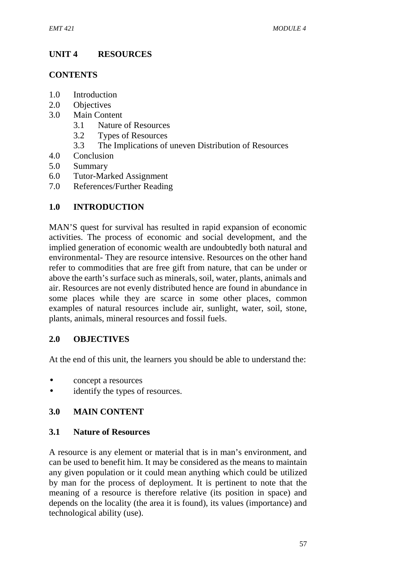# **UNIT 4 RESOURCES**

### **CONTENTS**

- 1.0 Introduction
- 2.0 Objectives
- 3.0 Main Content
	- 3.1 Nature of Resources
	- 3.2 Types of Resources
	- 3.3 The Implications of uneven Distribution of Resources
- 4.0 Conclusion
- 5.0 Summary
- 6.0 Tutor-Marked Assignment
- 7.0 References/Further Reading

## **1.0 INTRODUCTION**

MAN'S quest for survival has resulted in rapid expansion of economic activities. The process of economic and social development, and the implied generation of economic wealth are undoubtedly both natural and environmental- They are resource intensive. Resources on the other hand refer to commodities that are free gift from nature, that can be under or above the earth's surface such as minerals, soil, water, plants, animals and air. Resources are not evenly distributed hence are found in abundance in some places while they are scarce in some other places, common examples of natural resources include air, sunlight, water, soil, stone, plants, animals, mineral resources and fossil fuels.

### **2.0 OBJECTIVES**

At the end of this unit, the learners you should be able to understand the:

- concept a resources
- identify the types of resources.

### **3.0 MAIN CONTENT**

### **3.1 Nature of Resources**

A resource is any element or material that is in man's environment, and can be used to benefit him. It may be considered as the means to maintain any given population or it could mean anything which could be utilized by man for the process of deployment. It is pertinent to note that the meaning of a resource is therefore relative (its position in space) and depends on the locality (the area it is found), its values (importance) and technological ability (use).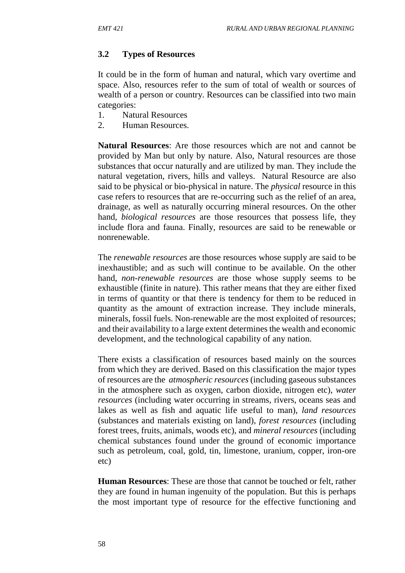# **3.2 Types of Resources**

It could be in the form of human and natural, which vary overtime and space. Also, resources refer to the sum of total of wealth or sources of wealth of a person or country. Resources can be classified into two main categories:

- 1. Natural Resources
- 2. Human Resources.

**Natural Resources**: Are those resources which are not and cannot be provided by Man but only by nature. Also, Natural resources are those substances that occur naturally and are utilized by man. They include the natural vegetation, rivers, hills and valleys. Natural Resource are also said to be physical or bio-physical in nature. The *physical* resource in this case refers to resources that are re-occurring such as the relief of an area, drainage, as well as naturally occurring mineral resources. On the other hand, *biological resources* are those resources that possess life, they include flora and fauna. Finally, resources are said to be renewable or nonrenewable.

The *renewable resources* are those resources whose supply are said to be inexhaustible; and as such will continue to be available. On the other hand, *non-renewable resources* are those whose supply seems to be exhaustible (finite in nature). This rather means that they are either fixed in terms of quantity or that there is tendency for them to be reduced in quantity as the amount of extraction increase. They include minerals, minerals, fossil fuels. Non-renewable are the most exploited of resources; and their availability to a large extent determines the wealth and economic development, and the technological capability of any nation.

There exists a classification of resources based mainly on the sources from which they are derived. Based on this classification the major types of resources are the *atmospheric resources* (including gaseous substances in the atmosphere such as oxygen, carbon dioxide, nitrogen etc), *water resources* (including water occurring in streams, rivers, oceans seas and lakes as well as fish and aquatic life useful to man), *land resources* (substances and materials existing on land), *forest resources* (including forest trees, fruits, animals, woods etc), and *mineral resources* (including chemical substances found under the ground of economic importance such as petroleum, coal, gold, tin, limestone, uranium, copper, iron-ore etc)

**Human Resources**: These are those that cannot be touched or felt, rather they are found in human ingenuity of the population. But this is perhaps the most important type of resource for the effective functioning and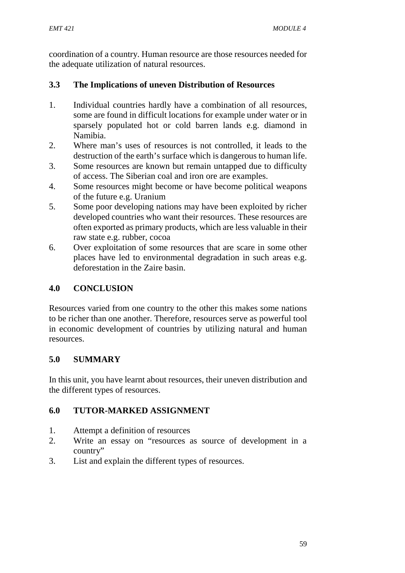coordination of a country. Human resource are those resources needed for the adequate utilization of natural resources.

## **3.3 The Implications of uneven Distribution of Resources**

- 1. Individual countries hardly have a combination of all resources, some are found in difficult locations for example under water or in sparsely populated hot or cold barren lands e.g. diamond in Namibia.
- 2. Where man's uses of resources is not controlled, it leads to the destruction of the earth's surface which is dangerous to human life.
- 3. Some resources are known but remain untapped due to difficulty of access. The Siberian coal and iron ore are examples.
- 4. Some resources might become or have become political weapons of the future e.g. Uranium
- 5. Some poor developing nations may have been exploited by richer developed countries who want their resources. These resources are often exported as primary products, which are less valuable in their raw state e.g. rubber, cocoa
- 6. Over exploitation of some resources that are scare in some other places have led to environmental degradation in such areas e.g. deforestation in the Zaire basin.

## **4.0 CONCLUSION**

Resources varied from one country to the other this makes some nations to be richer than one another. Therefore, resources serve as powerful tool in economic development of countries by utilizing natural and human resources.

# **5.0 SUMMARY**

In this unit, you have learnt about resources, their uneven distribution and the different types of resources.

# **6.0 TUTOR-MARKED ASSIGNMENT**

- 1. Attempt a definition of resources
- 2. Write an essay on "resources as source of development in a country"
- 3. List and explain the different types of resources.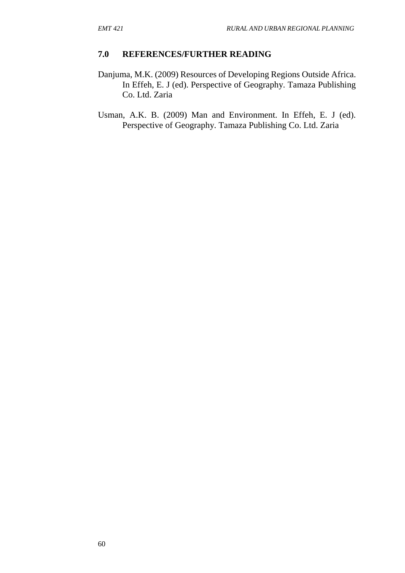- Danjuma, M.K. (2009) Resources of Developing Regions Outside Africa. In Effeh, E. J (ed). Perspective of Geography. Tamaza Publishing Co. Ltd. Zaria
- Usman, A.K. B. (2009) Man and Environment. In Effeh, E. J (ed). Perspective of Geography. Tamaza Publishing Co. Ltd. Zaria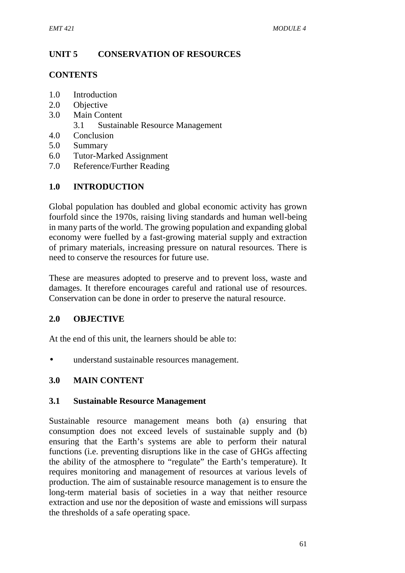## **UNIT 5 CONSERVATION OF RESOURCES**

### **CONTENTS**

- 1.0 Introduction
- 2.0 Objective
- 3.0 Main Content
	- 3.1 Sustainable Resource Management
- 4.0 Conclusion
- 5.0 Summary
- 6.0 Tutor-Marked Assignment
- 7.0 Reference/Further Reading

## **1.0 INTRODUCTION**

Global population has doubled and global economic activity has grown fourfold since the 1970s, raising living standards and human well-being in many parts of the world. The growing population and expanding global economy were fuelled by a fast-growing material supply and extraction of primary materials, increasing pressure on natural resources. There is need to conserve the resources for future use.

These are measures adopted to preserve and to prevent loss, waste and damages. It therefore encourages careful and rational use of resources. Conservation can be done in order to preserve the natural resource.

## **2.0 OBJECTIVE**

At the end of this unit, the learners should be able to:

understand sustainable resources management.

## **3.0 MAIN CONTENT**

### **3.1 Sustainable Resource Management**

Sustainable resource management means both (a) ensuring that consumption does not exceed levels of sustainable supply and (b) ensuring that the Earth's systems are able to perform their natural functions (i.e. preventing disruptions like in the case of GHGs affecting the ability of the atmosphere to "regulate" the Earth's temperature). It requires monitoring and management of resources at various levels of production. The aim of sustainable resource management is to ensure the long-term material basis of societies in a way that neither resource extraction and use nor the deposition of waste and emissions will surpass the thresholds of a safe operating space.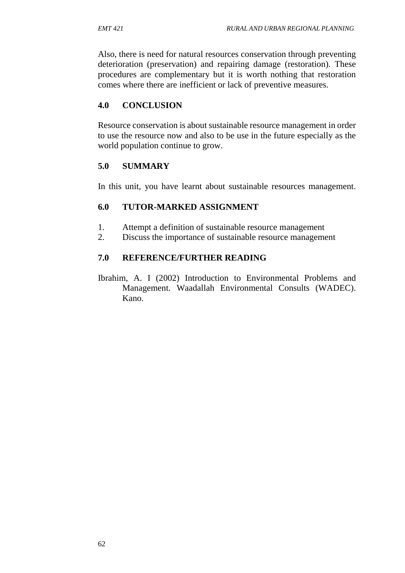Also, there is need for natural resources conservation through preventing deterioration (preservation) and repairing damage (restoration). These procedures are complementary but it is worth nothing that restoration comes where there are inefficient or lack of preventive measures.

### **4.0 CONCLUSION**

Resource conservation is about sustainable resource management in order to use the resource now and also to be use in the future especially as the world population continue to grow.

### **5.0 SUMMARY**

In this unit, you have learnt about sustainable resources management.

### **6.0 TUTOR-MARKED ASSIGNMENT**

- 1. Attempt a definition of sustainable resource management
- 2. Discuss the importance of sustainable resource management

### **7.0 REFERENCE/FURTHER READING**

Ibrahim, A. I (2002) Introduction to Environmental Problems and Management. Waadallah Environmental Consults (WADEC). Kano.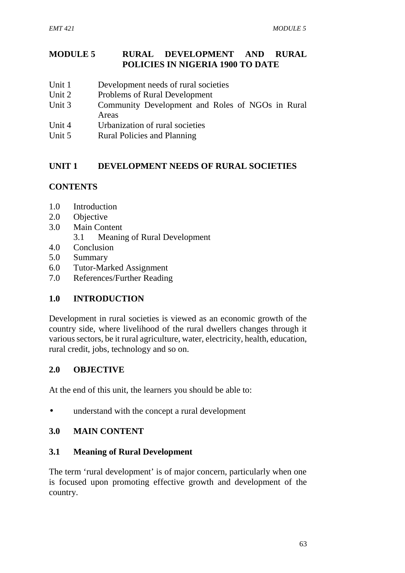### **MODULE 5 RURAL DEVELOPMENT AND RURAL POLICIES IN NIGERIA 1900 TO DATE**

- Unit 1 Development needs of rural societies
- Unit 2 Problems of Rural Development
- Unit 3 Community Development and Roles of NGOs in Rural Areas
- Unit 4 Urbanization of rural societies
- Unit 5 Rural Policies and Planning

## **UNIT 1 DEVELOPMENT NEEDS OF RURAL SOCIETIES**

## **CONTENTS**

- 1.0 Introduction
- 2.0 Objective
- 3.0 Main Content
	- 3.1 Meaning of Rural Development
- 4.0 Conclusion
- 5.0 Summary
- 6.0 Tutor-Marked Assignment
- 7.0 References/Further Reading

## **1.0 INTRODUCTION**

Development in rural societies is viewed as an economic growth of the country side, where livelihood of the rural dwellers changes through it various sectors, be it rural agriculture, water, electricity, health, education, rural credit, jobs, technology and so on.

### **2.0 OBJECTIVE**

At the end of this unit, the learners you should be able to:

understand with the concept a rural development

### **3.0 MAIN CONTENT**

### **3.1 Meaning of Rural Development**

The term 'rural development' is of major concern, particularly when one is focused upon promoting effective growth and development of the country.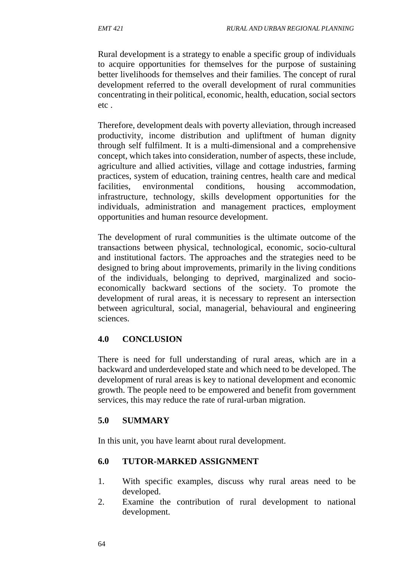Rural development is a strategy to enable a specific group of individuals to acquire opportunities for themselves for the purpose of sustaining better livelihoods for themselves and their families. The concept of rural development referred to the overall development of rural communities concentrating in their political, economic, health, education, social sectors etc .

Therefore, development deals with poverty alleviation, through increased productivity, income distribution and upliftment of human dignity through self fulfilment. It is a multi-dimensional and a comprehensive concept, which takes into consideration, number of aspects, these include, agriculture and allied activities, village and cottage industries, farming practices, system of education, training centres, health care and medical facilities, environmental conditions, housing accommodation, infrastructure, technology, skills development opportunities for the individuals, administration and management practices, employment opportunities and human resource development.

The development of rural communities is the ultimate outcome of the transactions between physical, technological, economic, socio-cultural and institutional factors. The approaches and the strategies need to be designed to bring about improvements, primarily in the living conditions of the individuals, belonging to deprived, marginalized and socio economically backward sections of the society. To promote the development of rural areas, it is necessary to represent an intersection between agricultural, social, managerial, behavioural and engineering sciences.

### **4.0 CONCLUSION**

There is need for full understanding of rural areas, which are in a backward and underdeveloped state and which need to be developed. The development of rural areas is key to national development and economic growth. The people need to be empowered and benefit from government services, this may reduce the rate of rural-urban migration.

### **5.0 SUMMARY**

In this unit, you have learnt about rural development.

### **6.0 TUTOR-MARKED ASSIGNMENT**

- 1. With specific examples, discuss why rural areas need to be developed.
- 2. Examine the contribution of rural development to national development.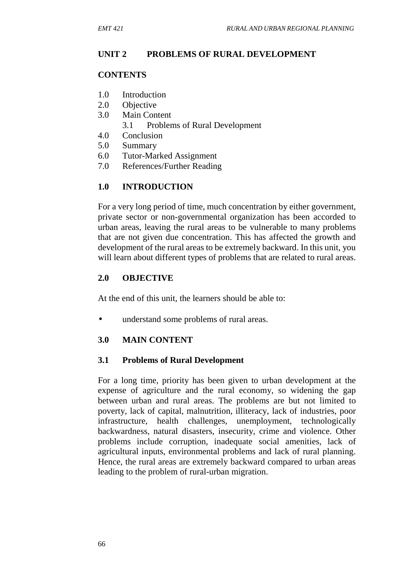### **UNIT 2 PROBLEMS OF RURAL DEVELOPMENT**

#### **CONTENTS**

- 1.0 Introduction
- 2.0 Objective
- 3.0 Main Content
	- 3.1 Problems of Rural Development
- 4.0 Conclusion
- 5.0 Summary
- 6.0 Tutor-Marked Assignment
- 7.0 References/Further Reading

### **1.0 INTRODUCTION**

For a very long period of time, much concentration by either government, private sector or non-governmental organization has been accorded to urban areas, leaving the rural areas to be vulnerable to many problems that are not given due concentration. This has affected the growth and development of the rural areas to be extremely backward. In this unit, you will learn about different types of problems that are related to rural areas.

### **2.0 OBJECTIVE**

At the end of this unit, the learners should be able to:

understand some problems of rural areas.

### **3.0 MAIN CONTENT**

### **3.1 Problems of Rural Development**

For a long time, priority has been given to urban development at the expense of agriculture and the rural economy, so widening the gap between urban and rural areas. The problems are but not limited to poverty, lack of capital, malnutrition, illiteracy, lack of industries, poor infrastructure, health challenges, unemployment, technologically backwardness, natural disasters, insecurity, crime and violence. Other problems include corruption, inadequate social amenities, lack of agricultural inputs, environmental problems and lack of rural planning. Hence, the rural areas are extremely backward compared to urban areas leading to the problem of rural-urban migration.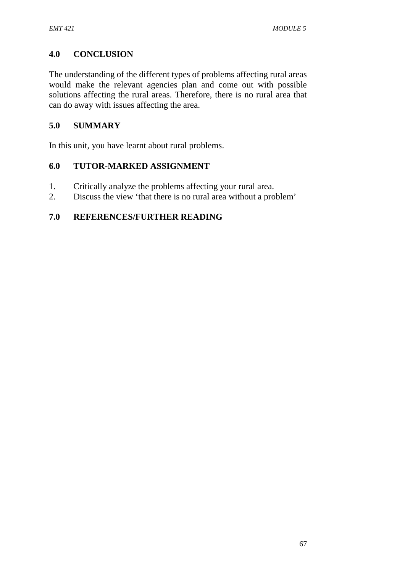## **4.0 CONCLUSION**

The understanding of the different types of problems affecting rural areas would make the relevant agencies plan and come out with possible solutions affecting the rural areas. Therefore, there is no rural area that can do away with issues affecting the area.

### **5.0 SUMMARY**

In this unit, you have learnt about rural problems.

### **6.0 TUTOR-MARKED ASSIGNMENT**

- 1. Critically analyze the problems affecting your rural area.
- 2. Discuss the view 'that there is no rural area without a problem'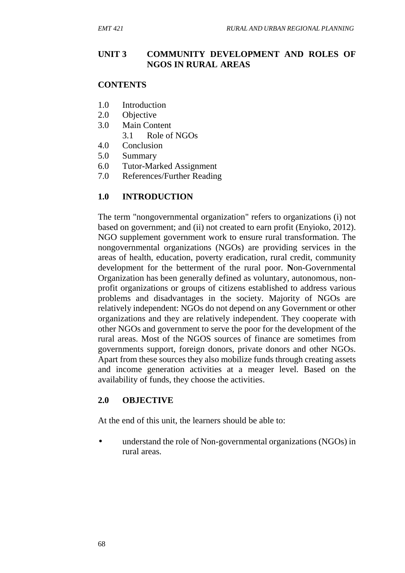### **UNIT 3 COMMUNITY DEVELOPMENT AND ROLES OF NGOS IN RURAL AREAS**

#### **CONTENTS**

- 1.0 Introduction
- 2.0 Objective
- 3.0 Main Content
	- 3.1 Role of NGOs
- 4.0 Conclusion
- 5.0 Summary
- 6.0 Tutor-Marked Assignment
- 7.0 References/Further Reading

### **1.0 INTRODUCTION**

The term "nongovernmental organization" refers to organizations (i) not based on government; and (ii) not created to earn profit (Enyioko, 2012). NGO supplement government work to ensure rural transformation. The nongovernmental organizations (NGOs) are providing services in the areas of health, education, poverty eradication, rural credit, community development for the betterment of the rural poor. **N**on-Governmental Organization has been generally defined as voluntary, autonomous, non profit organizations or groups of citizens established to address various problems and disadvantages in the society. Majority of NGOs are relatively independent: NGOs do not depend on any Government or other organizations and they are relatively independent. They cooperate with other NGOs and government to serve the poor for the development of the rural areas. Most of the NGOS sources of finance are sometimes from governments support, foreign donors, private donors and other NGOs. Apart from these sources they also mobilize funds through creating assets and income generation activities at a meager level. Based on the availability of funds, they choose the activities.

### **2.0 OBJECTIVE**

At the end of this unit, the learners should be able to:

 understand the role of Non-governmental organizations (NGOs) in rural areas.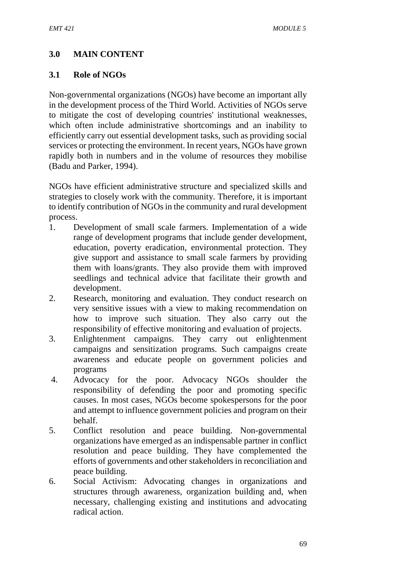# **3.0 MAIN CONTENT**

#### **3.1 Role of NGOs**

Non-governmental organizations (NGOs) have become an important ally in the development process of the Third World. Activities of NGOs serve to mitigate the cost of developing countries' institutional weaknesses, which often include administrative shortcomings and an inability to efficiently carry out essential development tasks, such as providing social services or protecting the environment. In recent years, NGOs have grown rapidly both in numbers and in the volume of resources they mobilise (Badu and Parker, 1994).

NGOs have efficient administrative structure and specialized skills and strategies to closely work with the community. Therefore, it is important to identify contribution of NGOs in the community and rural development process.

- 1. Development of small scale farmers. Implementation of a wide range of development programs that include gender development, education, poverty eradication, environmental protection. They give support and assistance to small scale farmers by providing them with loans/grants. They also provide them with improved seedlings and technical advice that facilitate their growth and development.
- 2. Research, monitoring and evaluation. They conduct research on very sensitive issues with a view to making recommendation on how to improve such situation. They also carry out the responsibility of effective monitoring and evaluation of projects.
- 3. Enlightenment campaigns. They carry out enlightenment campaigns and sensitization programs. Such campaigns create awareness and educate people on government policies and programs
- 4. Advocacy for the poor. Advocacy NGOs shoulder the responsibility of defending the poor and promoting specific causes. In most cases, NGOs become spokespersons for the poor and attempt to influence government policies and program on their behalf.
- 5. Conflict resolution and peace building. Non-governmental organizations have emerged as an indispensable partner in conflict resolution and peace building. They have complemented the efforts of governments and other stakeholders in reconciliation and peace building.
- 6. Social Activism: Advocating changes in organizations and structures through awareness, organization building and, when necessary, challenging existing and institutions and advocating radical action.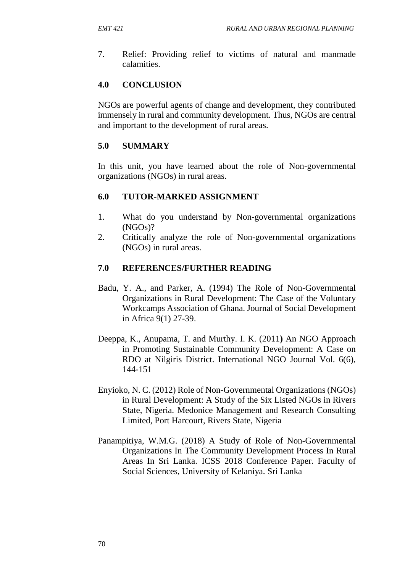7. Relief: Providing relief to victims of natural and manmade calamities.

# **4.0 CONCLUSION**

NGOs are powerful agents of change and development, they contributed immensely in rural and community development. Thus, NGOs are central and important to the development of rural areas.

# **5.0 SUMMARY**

In this unit, you have learned about the role of Non-governmental organizations (NGOs) in rural areas.

### **6.0 TUTOR-MARKED ASSIGNMENT**

- 1. What do you understand by Non-governmental organizations (NGOs)?
- 2. Critically analyze the role of Non-governmental organizations (NGOs) in rural areas.

### **7.0 REFERENCES/FURTHER READING**

- Badu, Y. A., and Parker, A. (1994) The Role of Non-Governmental Organizations in Rural Development: The Case of the Voluntary Workcamps Association of Ghana. Journal of Social Development in Africa 9(1) 27-39.
- Deeppa, K., Anupama, T. and Murthy. I. K. (2011**)** An NGO Approach in Promoting Sustainable Community Development: A Case on RDO at Nilgiris District. International NGO Journal Vol. 6(6), 144-151
- Enyioko, N. C. (2012) Role of Non-Governmental Organizations (NGOs) in Rural Development: A Study of the Six Listed NGOs in Rivers State, Nigeria. Medonice Management and Research Consulting Limited, Port Harcourt, Rivers State, Nigeria
- Panampitiya, W.M.G. (2018) A Study of Role of Non-Governmental Organizations In The Community Development Process In Rural Areas In Sri Lanka. ICSS 2018 Conference Paper. Faculty of Social Sciences, University of Kelaniya. Sri Lanka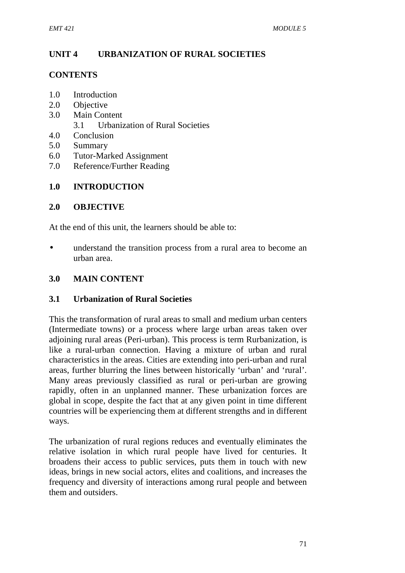### **UNIT 4 URBANIZATION OF RURAL SOCIETIES**

#### **CONTENTS**

- 1.0 Introduction
- 2.0 Objective
- 3.0 Main Content
	- 3.1 Urbanization of Rural Societies
- 4.0 Conclusion
- 5.0 Summary
- 6.0 Tutor-Marked Assignment
- 7.0 Reference/Further Reading

#### **1.0 INTRODUCTION**

#### **2.0 OBJECTIVE**

At the end of this unit, the learners should be able to:

 understand the transition process from a rural area to become an urban area.

#### **3.0 MAIN CONTENT**

#### **3.1 Urbanization of Rural Societies**

This the transformation of rural areas to small and medium urban centers (Intermediate towns) or a process where large urban areas taken over adjoining rural areas (Peri-urban). This process is term Rurbanization, is like a rural-urban connection. Having a mixture of urban and rural characteristics in the areas. Cities are extending into peri-urban and rural areas, further blurring the lines between historically 'urban' and 'rural'. Many areas previously classified as rural or peri-urban are growing rapidly, often in an unplanned manner. These urbanization forces are global in scope, despite the fact that at any given point in time different countries will be experiencing them at different strengths and in different ways.

The urbanization of rural regions reduces and eventually eliminates the relative isolation in which rural people have lived for centuries. It broadens their access to public services, puts them in touch with new ideas, brings in new social actors, elites and coalitions, and increases the frequency and diversity of interactions among rural people and between them and outsiders.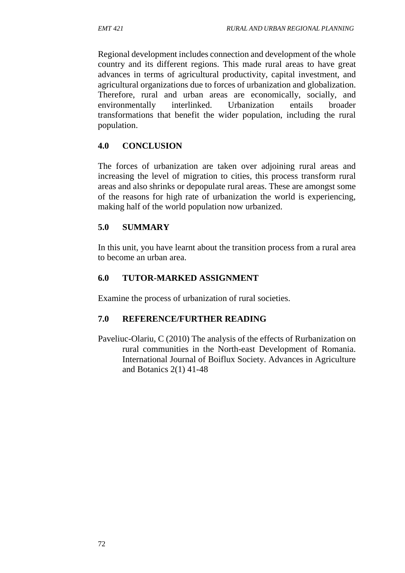Regional development includes connection and development of the whole country and its different regions. This made rural areas to have great advances in terms of agricultural productivity, capital investment, and agricultural organizations due to forces of urbanization and globalization. Therefore, rural and urban areas are economically, socially, and environmentally interlinked. Urbanization entails broader transformations that benefit the wider population, including the rural population.

### **4.0 CONCLUSION**

The forces of urbanization are taken over adjoining rural areas and increasing the level of migration to cities, this process transform rural areas and also shrinks or depopulate rural areas. These are amongst some of the reasons for high rate of urbanization the world is experiencing, making half of the world population now urbanized.

# **5.0 SUMMARY**

In this unit, you have learnt about the transition process from a rural area to become an urban area.

# **6.0 TUTOR-MARKED ASSIGNMENT**

Examine the process of urbanization of rural societies.

# **7.0 REFERENCE/FURTHER READING**

Paveliuc-Olariu, C (2010) The analysis of the effects of Rurbanization on rural communities in the North-east Development of Romania. International Journal of Boiflux Society. Advances in Agriculture and Botanics 2(1) 41-48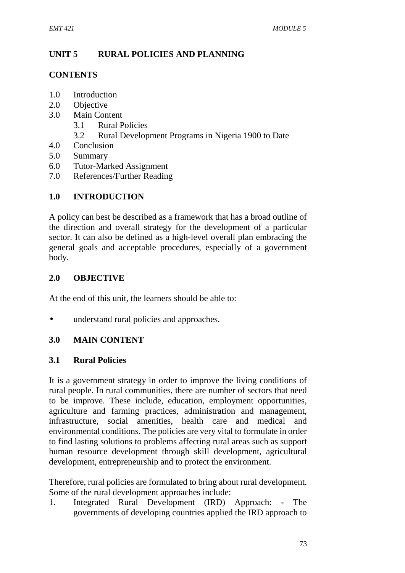### **UNIT 5 RURAL POLICIES AND PLANNING**

#### **CONTENTS**

- 1.0 Introduction
- 2.0 Objective
- 3.0 Main Content
	- 3.1 Rural Policies
	- 3.2 Rural Development Programs in Nigeria 1900 to Date
- 4.0 Conclusion
- 5.0 Summary
- 6.0 Tutor-Marked Assignment
- 7.0 References/Further Reading

### **1.0 INTRODUCTION**

A policy can best be described as a framework that has a broad outline of the direction and overall strategy for the development of a particular sector. It can also be defined as a high-level overall plan embracing the general goals and acceptable procedures, especially of a government body.

#### **2.0 OBJECTIVE**

At the end of this unit, the learners should be able to:

• understand rural policies and approaches.

### **3.0 MAIN CONTENT**

#### **3.1 Rural Policies**

It is a government strategy in order to improve the living conditions of rural people. In rural communities, there are number of sectors that need to be improve. These include, education, employment opportunities, agriculture and farming practices, administration and management, infrastructure, social amenities, health care and medical and environmental conditions. The policies are very vital to formulate in order to find lasting solutions to problems affecting rural areas such as support human resource development through skill development, agricultural development, entrepreneurship and to protect the environment.

Therefore, rural policies are formulated to bring about rural development. Some of the rural development approaches include:

1. Integrated Rural Development (IRD) Approach: - The governments of developing countries applied the IRD approach to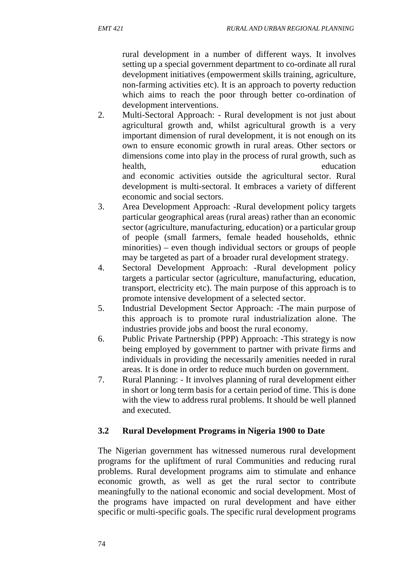rural development in a number of different ways. It involves setting up a special government department to co-ordinate all rural development initiatives (empowerment skills training, agriculture, non-farming activities etc). It is an approach to poverty reduction which aims to reach the poor through better co-ordination of development interventions.

2. Multi-Sectoral Approach: - Rural development is not just about agricultural growth and, whilst agricultural growth is a very important dimension of rural development, it is not enough on its own to ensure economic growth in rural areas. Other sectors or dimensions come into play in the process of rural growth, such as health, the contraction of the contraction of the education of the education of the education

and economic activities outside the agricultural sector. Rural development is multi-sectoral. It embraces a variety of different economic and social sectors.

- 3. Area Development Approach: -Rural development policy targets particular geographical areas (rural areas) rather than an economic sector (agriculture, manufacturing, education) or a particular group of people (small farmers, female headed households, ethnic minorities) – even though individual sectors or groups of people may be targeted as part of a broader rural development strategy.
- 4. Sectoral Development Approach: -Rural development policy targets a particular sector (agriculture, manufacturing, education, transport, electricity etc). The main purpose of this approach is to promote intensive development of a selected sector.
- 5. Industrial Development Sector Approach: -The main purpose of this approach is to promote rural industrialization alone. The industries provide jobs and boost the rural economy.
- 6. Public Private Partnership (PPP) Approach: -This strategy is now being employed by government to partner with private firms and individuals in providing the necessarily amenities needed in rural areas. It is done in order to reduce much burden on government.
- 7. Rural Planning: It involves planning of rural development either in short or long term basis for a certain period of time. This is done with the view to address rural problems. It should be well planned and executed.

# **3.2 Rural Development Programs in Nigeria 1900 to Date**

The Nigerian government has witnessed numerous rural development programs for the upliftment of rural Communities and reducing rural problems. Rural development programs aim to stimulate and enhance economic growth, as well as get the rural sector to contribute meaningfully to the national economic and social development. Most of the programs have impacted on rural development and have either specific or multi-specific goals. The specific rural development programs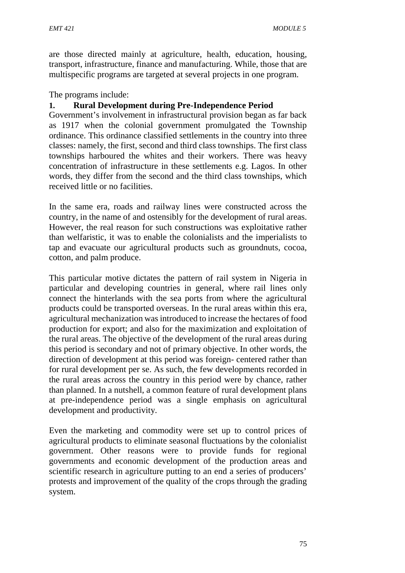are those directed mainly at agriculture, health, education, housing, transport, infrastructure, finance and manufacturing. While, those that are multispecific programs are targeted at several projects in one program.

The programs include:

#### **1. Rural Development during Pre-Independence Period**

Government's involvement in infrastructural provision began as far back as 1917 when the colonial government promulgated the Township ordinance. This ordinance classified settlements in the country into three classes: namely, the first, second and third class townships. The first class townships harboured the whites and their workers. There was heavy concentration of infrastructure in these settlements e.g. Lagos. In other words, they differ from the second and the third class townships, which received little or no facilities.

In the same era, roads and railway lines were constructed across the country, in the name of and ostensibly for the development of rural areas. However, the real reason for such constructions was exploitative rather than welfaristic, it was to enable the colonialists and the imperialists to tap and evacuate our agricultural products such as groundnuts, cocoa, cotton, and palm produce.

This particular motive dictates the pattern of rail system in Nigeria in particular and developing countries in general, where rail lines only connect the hinterlands with the sea ports from where the agricultural products could be transported overseas. In the rural areas within this era, agricultural mechanization was introduced to increase the hectares of food production for export; and also for the maximization and exploitation of the rural areas. The objective of the development of the rural areas during this period is secondary and not of primary objective. In other words, the direction of development at this period was foreign- centered rather than for rural development per se. As such, the few developments recorded in the rural areas across the country in this period were by chance, rather than planned. In a nutshell, a common feature of rural development plans at pre-independence period was a single emphasis on agricultural development and productivity.

Even the marketing and commodity were set up to control prices of agricultural products to eliminate seasonal fluctuations by the colonialist government. Other reasons were to provide funds for regional governments and economic development of the production areas and scientific research in agriculture putting to an end a series of producers' protests and improvement of the quality of the crops through the grading system.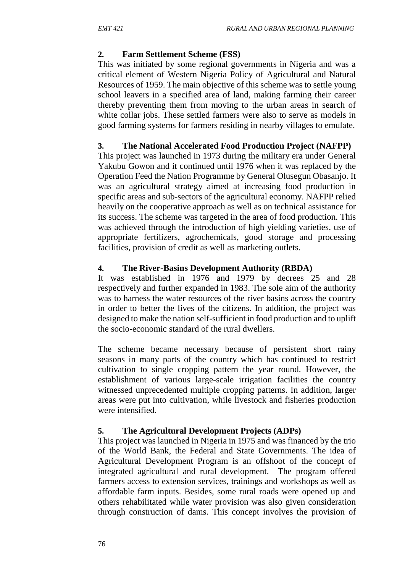## **2. Farm Settlement Scheme (FSS)**

This was initiated by some regional governments in Nigeria and was a critical element of Western Nigeria Policy of Agricultural and Natural Resources of 1959. The main objective of this scheme was to settle young school leavers in a specified area of land, making farming their career thereby preventing them from moving to the urban areas in search of white collar jobs. These settled farmers were also to serve as models in good farming systems for farmers residing in nearby villages to emulate.

# **3. The National Accelerated Food Production Project (NAFPP)**

This project was launched in 1973 during the military era under General Yakubu Gowon and it continued until 1976 when it was replaced by the Operation Feed the Nation Programme by General Olusegun Obasanjo. It was an agricultural strategy aimed at increasing food production in specific areas and sub-sectors of the agricultural economy. NAFPP relied heavily on the cooperative approach as well as on technical assistance for its success. The scheme was targeted in the area of food production. This was achieved through the introduction of high yielding varieties, use of appropriate fertilizers, agrochemicals, good storage and processing facilities, provision of credit as well as marketing outlets.

# **4. The River-Basins Development Authority (RBDA)**

It was established in 1976 and 1979 by decrees 25 and 28 respectively and further expanded in 1983. The sole aim of the authority was to harness the water resources of the river basins across the country in order to better the lives of the citizens. In addition, the project was designed to make the nation self-sufficient in food production and to uplift the socio-economic standard of the rural dwellers.

The scheme became necessary because of persistent short rainy seasons in many parts of the country which has continued to restrict cultivation to single cropping pattern the year round. However, the establishment of various large-scale irrigation facilities the country witnessed unprecedented multiple cropping patterns. In addition, larger areas were put into cultivation, while livestock and fisheries production were intensified.

### **5. The Agricultural Development Projects (ADPs)**

This project was launched in Nigeria in 1975 and was financed by the trio of the World Bank, the Federal and State Governments. The idea of Agricultural Development Program is an offshoot of the concept of integrated agricultural and rural development. The program offered farmers access to extension services, trainings and workshops as well as affordable farm inputs. Besides, some rural roads were opened up and others rehabilitated while water provision was also given consideration through construction of dams. This concept involves the provision of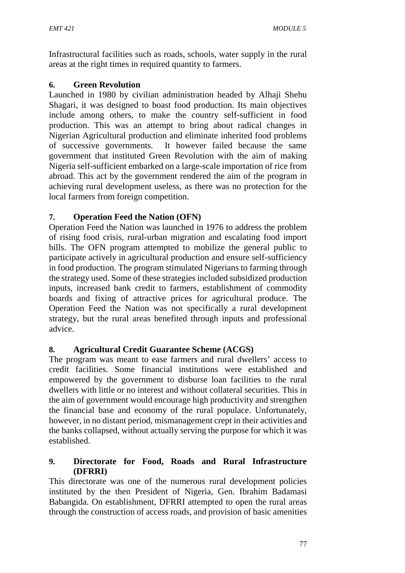Infrastructural facilities such as roads, schools, water supply in the rural areas at the right times in required quantity to farmers.

### **6. Green Revolution**

Launched in 1980 by civilian administration headed by Alhaji Shehu Shagari, it was designed to boast food production. Its main objectives include among others, to make the country self-sufficient in food production. This was an attempt to bring about radical changes in Nigerian Agricultural production and eliminate inherited food problems of successive governments. It however failed because the same government that instituted Green Revolution with the aim of making Nigeria self-sufficient embarked on a large-scale importation of rice from abroad. This act by the government rendered the aim of the program in achieving rural development useless, as there was no protection for the local farmers from foreign competition.

# **7. Operation Feed the Nation (OFN)**

Operation Feed the Nation was launched in 1976 to address the problem of rising food crisis, rural-urban migration and escalating food import bills. The OFN program attempted to mobilize the general public to participate actively in agricultural production and ensure self-sufficiency in food production. The program stimulated Nigerians to farming through the strategy used. Some of these strategies included subsidized production inputs, increased bank credit to farmers, establishment of commodity boards and fixing of attractive prices for agricultural produce. The Operation Feed the Nation was not specifically a rural development strategy, but the rural areas benefited through inputs and professional advice.

# **8. Agricultural Credit Guarantee Scheme (ACGS)**

The program was meant to ease farmers and rural dwellers' access to credit facilities. Some financial institutions were established and empowered by the government to disburse loan facilities to the rural dwellers with little or no interest and without collateral securities. This in the aim of government would encourage high productivity and strengthen the financial base and economy of the rural populace. Unfortunately, however, in no distant period, mismanagement crept in their activities and the banks collapsed, without actually serving the purpose for which it was established.

### **9. Directorate for Food, Roads and Rural Infrastructure (DFRRI)**

This directorate was one of the numerous rural development policies instituted by the then President of Nigeria, Gen. Ibrahim Badamasi Babangida. On establishment, DFRRI attempted to open the rural areas through the construction of access roads, and provision of basic amenities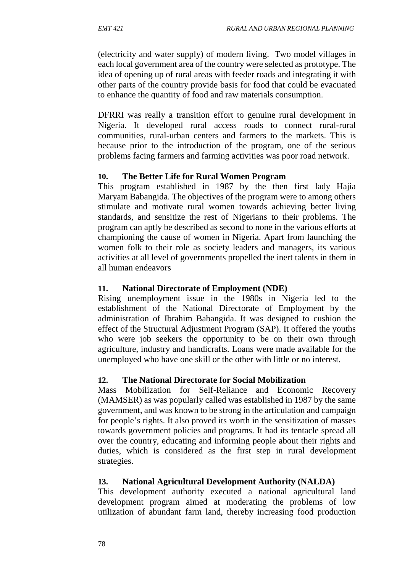(electricity and water supply) of modern living. Two model villages in each local government area of the country were selected as prototype. The idea of opening up of rural areas with feeder roads and integrating it with other parts of the country provide basis for food that could be evacuated to enhance the quantity of food and raw materials consumption.

DFRRI was really a transition effort to genuine rural development in Nigeria. It developed rural access roads to connect rural-rural communities, rural-urban centers and farmers to the markets. This is because prior to the introduction of the program, one of the serious problems facing farmers and farming activities was poor road network.

### **10. The Better Life for Rural Women Program**

This program established in 1987 by the then first lady Hajia Maryam Babangida. The objectives of the program were to among others stimulate and motivate rural women towards achieving better living standards, and sensitize the rest of Nigerians to their problems. The program can aptly be described as second to none in the various efforts at championing the cause of women in Nigeria. Apart from launching the women folk to their role as society leaders and managers, its various activities at all level of governments propelled the inert talents in them in all human endeavors

### **11. National Directorate of Employment (NDE)**

Rising unemployment issue in the 1980s in Nigeria led to the establishment of the National Directorate of Employment by the administration of Ibrahim Babangida. It was designed to cushion the effect of the Structural Adjustment Program (SAP). It offered the youths who were job seekers the opportunity to be on their own through agriculture, industry and handicrafts. Loans were made available for the unemployed who have one skill or the other with little or no interest.

# **12. The National Directorate for Social Mobilization**

Mass Mobilization for Self-Reliance and Economic Recovery (MAMSER) as was popularly called was established in 1987 by the same government, and was known to be strong in the articulation and campaign for people's rights. It also proved its worth in the sensitization of masses towards government policies and programs. It had its tentacle spread all over the country, educating and informing people about their rights and duties, which is considered as the first step in rural development strategies.

### **13. National Agricultural Development Authority (NALDA)**

This development authority executed a national agricultural land development program aimed at moderating the problems of low utilization of abundant farm land, thereby increasing food production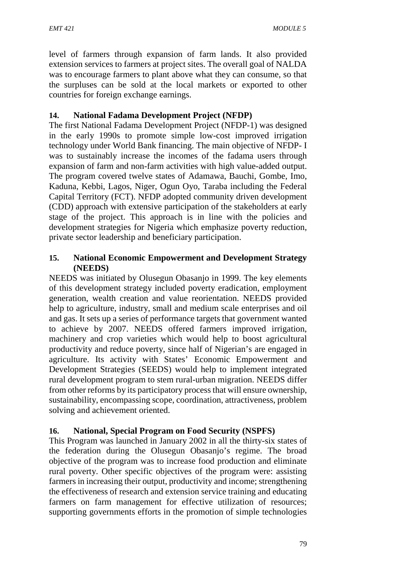level of farmers through expansion of farm lands. It also provided extension services to farmers at project sites. The overall goal of NALDA was to encourage farmers to plant above what they can consume, so that the surpluses can be sold at the local markets or exported to other countries for foreign exchange earnings.

# **14. National Fadama Development Project (NFDP)**

The first National Fadama Development Project (NFDP-1) was designed in the early 1990s to promote simple low-cost improved irrigation technology under World Bank financing. The main objective of NFDP- I was to sustainably increase the incomes of the fadama users through expansion of farm and non-farm activities with high value-added output. The program covered twelve states of Adamawa, Bauchi, Gombe, Imo, Kaduna, Kebbi, Lagos, Niger, Ogun Oyo, Taraba including the Federal Capital Territory (FCT). NFDP adopted community driven development (CDD) approach with extensive participation of the stakeholders at early stage of the project. This approach is in line with the policies and development strategies for Nigeria which emphasize poverty reduction, private sector leadership and beneficiary participation.

#### **15. National Economic Empowerment and Development Strategy (NEEDS)**

NEEDS was initiated by Olusegun Obasanjo in 1999. The key elements of this development strategy included poverty eradication, employment generation, wealth creation and value reorientation. NEEDS provided help to agriculture, industry, small and medium scale enterprises and oil and gas. It sets up a series of performance targets that government wanted to achieve by 2007. NEEDS offered farmers improved irrigation, machinery and crop varieties which would help to boost agricultural productivity and reduce poverty, since half of Nigerian's are engaged in agriculture. Its activity with States' Economic Empowerment and Development Strategies (SEEDS) would help to implement integrated rural development program to stem rural-urban migration. NEEDS differ from other reforms by its participatory process that will ensure ownership, sustainability, encompassing scope, coordination, attractiveness, problem solving and achievement oriented.

### **16. National, Special Program on Food Security (NSPFS)**

This Program was launched in January 2002 in all the thirty-six states of the federation during the Olusegun Obasanjo's regime. The broad objective of the program was to increase food production and eliminate rural poverty. Other specific objectives of the program were: assisting farmers in increasing their output, productivity and income; strengthening the effectiveness of research and extension service training and educating farmers on farm management for effective utilization of resources; supporting governments efforts in the promotion of simple technologies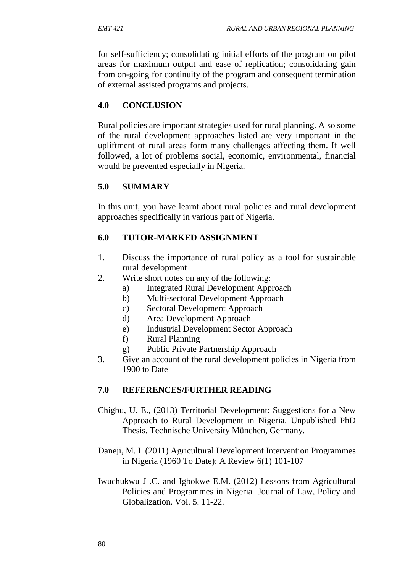for self-sufficiency; consolidating initial efforts of the program on pilot areas for maximum output and ease of replication; consolidating gain from on-going for continuity of the program and consequent termination of external assisted programs and projects.

## **4.0 CONCLUSION**

Rural policies are important strategies used for rural planning. Also some of the rural development approaches listed are very important in the upliftment of rural areas form many challenges affecting them. If well followed, a lot of problems social, economic, environmental, financial would be prevented especially in Nigeria.

# **5.0 SUMMARY**

In this unit, you have learnt about rural policies and rural development approaches specifically in various part of Nigeria.

### **6.0 TUTOR-MARKED ASSIGNMENT**

- 1. Discuss the importance of rural policy as a tool for sustainable rural development
- 2. Write short notes on any of the following:
	- a) Integrated Rural Development Approach
	- b) Multi-sectoral Development Approach
	- c) Sectoral Development Approach
	- d) Area Development Approach
	- e) Industrial Development Sector Approach
	- f) Rural Planning
	- g) Public Private Partnership Approach
- 3. Give an account of the rural development policies in Nigeria from 1900 to Date

### **7.0 REFERENCES/FURTHER READING**

- Chigbu, U. E., (2013) Territorial Development: Suggestions for a New Approach to Rural Development in Nigeria. Unpublished PhD Thesis. Technische University München, Germany.
- Daneji, M. I. (2011) Agricultural Development Intervention Programmes in Nigeria (1960 To Date): A Review 6(1) 101-107
- Iwuchukwu J .C. and Igbokwe E.M. (2012) Lessons from Agricultural Policies and Programmes in Nigeria Journal of Law, Policy and Globalization. Vol. 5. 11-22.